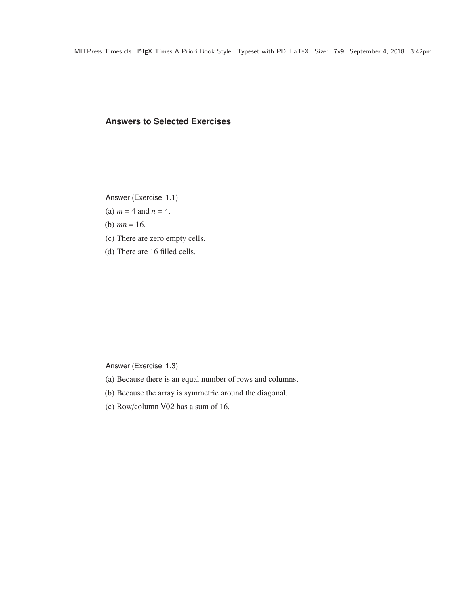### **Answers to Selected Exercises**

Answer (Exercise 1.1)

(a)  $m = 4$  and  $n = 4$ .

(b)  $mn = 16$ .

- (c) There are zero empty cells.
- (d) There are 16 filled cells.

Answer (Exercise 1.3)

- (a) Because there is an equal number of rows and columns.
- (b) Because the array is symmetric around the diagonal.
- (c) Row/column V02 has a sum of 16.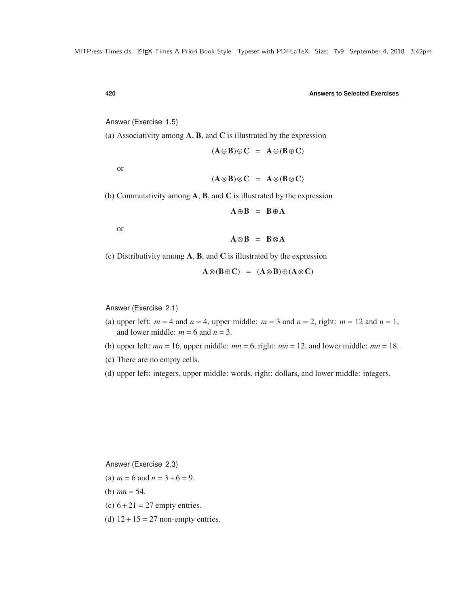Answer (Exercise 1.5)

(a) Associativity among  $A$ ,  $B$ , and  $C$  is illustrated by the expression

 $(A \oplus B) \oplus C = A \oplus (B \oplus C)$ 

or

$$
(\mathbf{A}\otimes\mathbf{B})\otimes\mathbf{C} = \mathbf{A}\otimes(\mathbf{B}\otimes\mathbf{C})
$$

(b) Commutativity among  $\bf{A}$ ,  $\bf{B}$ , and  $\bf{C}$  is illustrated by the expression

 $A \oplus B = B \oplus A$ 

or

 $A \otimes B = B \otimes A$ 

(c) Distributivity among  $A$ ,  $B$ , and  $C$  is illustrated by the expression

$$
A \otimes (B \oplus C) = (A \otimes B) \oplus (A \otimes C)
$$

Answer (Exercise 2.1)

- (a) upper left:  $m = 4$  and  $n = 4$ , upper middle:  $m = 3$  and  $n = 2$ , right:  $m = 12$  and  $n = 1$ , and lower middle:  $m = 6$  and  $n = 3$ .
- (b) upper left:  $mn = 16$ , upper middle:  $mn = 6$ , right:  $mn = 12$ , and lower middle:  $mn = 18$ .
- (c) There are no empty cells.
- (d) upper left: integers, upper middle: words, right: dollars, and lower middle: integers.

Answer (Exercise 2.3)

- (a)  $m = 6$  and  $n = 3 + 6 = 9$ .
- (b)  $mn = 54$ .
- (c)  $6+21 = 27$  empty entries.
- (d)  $12 + 15 = 27$  non-empty entries.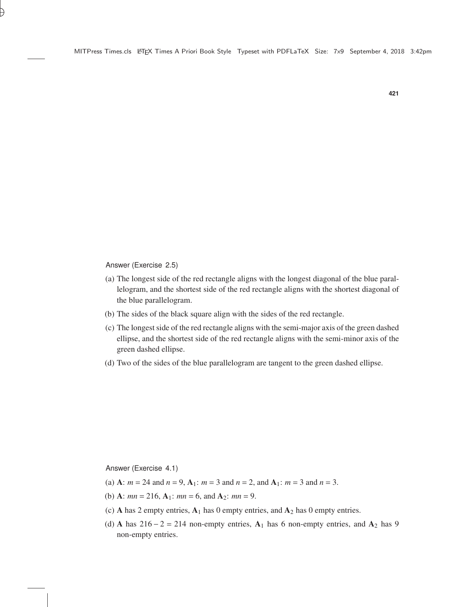Answer (Exercise 2.5)

- (a) The longest side of the red rectangle aligns with the longest diagonal of the blue parallelogram, and the shortest side of the red rectangle aligns with the shortest diagonal of the blue parallelogram.
- (b) The sides of the black square align with the sides of the red rectangle.
- (c) The longest side of the red rectangle aligns with the semi-major axis of the green dashed ellipse, and the shortest side of the red rectangle aligns with the semi-minor axis of the green dashed ellipse.
- (d) Two of the sides of the blue parallelogram are tangent to the green dashed ellipse.

Answer (Exercise 4.1)

- (a) A:  $m = 24$  and  $n = 9$ ,  $A_1$ :  $m = 3$  and  $n = 2$ , and  $A_1$ :  $m = 3$  and  $n = 3$ .
- (b) **A**:  $mn = 216$ , **A**<sub>1</sub>:  $mn = 6$ , and **A**<sub>2</sub>:  $mn = 9$ .
- (c) A has 2 empty entries,  $A_1$  has 0 empty entries, and  $A_2$  has 0 empty entries.
- (d) A has  $216 2 = 214$  non-empty entries, A<sub>1</sub> has 6 non-empty entries, and A<sub>2</sub> has 9 non-empty entries.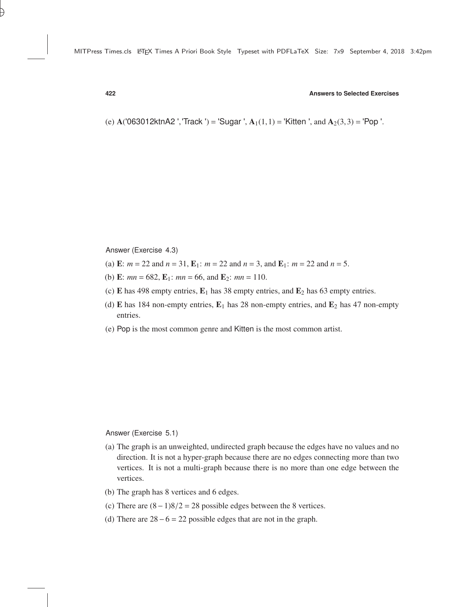(e)  $A(063012ktnA2', Track') = 'Sugar', A<sub>1</sub>(1,1) = 'Kitten', and A<sub>2</sub>(3,3) = 'Pop'.$ 

Answer (Exercise 4.3)

- (a) **E**:  $m = 22$  and  $n = 31$ , **E**<sub>1</sub>:  $m = 22$  and  $n = 3$ , and **E**<sub>1</sub>:  $m = 22$  and  $n = 5$ .
- (b) E:  $mn = 682$ , E<sub>1</sub>:  $mn = 66$ , and E<sub>2</sub>:  $mn = 110$ .
- (c) E has 498 empty entries,  $E_1$  has 38 empty entries, and  $E_2$  has 63 empty entries.
- (d) E has 184 non-empty entries,  $E_1$  has 28 non-empty entries, and  $E_2$  has 47 non-empty entries.
- (e) Pop is the most common genre and Kitten is the most common artist.

Answer (Exercise 5.1)

- (a) The graph is an unweighted, undirected graph because the edges have no values and no direction. It is not a hyper-graph because there are no edges connecting more than two vertices. It is not a multi-graph because there is no more than one edge between the vertices.
- (b) The graph has 8 vertices and 6 edges.
- (c) There are  $(8-1)8/2 = 28$  possible edges between the 8 vertices.
- (d) There are  $28-6 = 22$  possible edges that are not in the graph.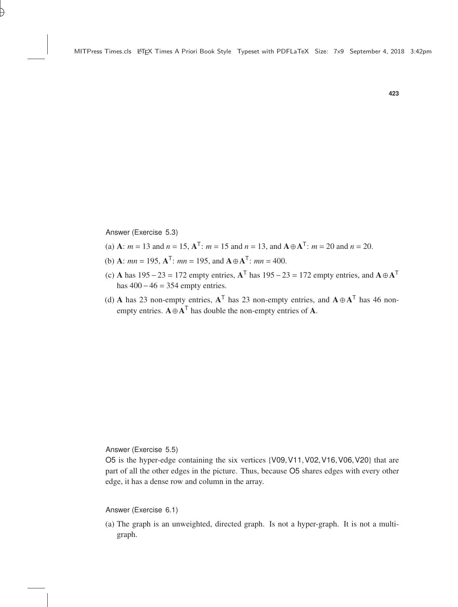Answer (Exercise 5.3)

- (a) **A**:  $m = 13$  and  $n = 15$ ,  $A^{T}$ :  $m = 15$  and  $n = 13$ , and  $A \oplus A^{T}$ :  $m = 20$  and  $n = 20$ .
- (b) **A**:  $mn = 195$ ,  $A^{T}$ :  $mn = 195$ , and  $A \oplus A^{T}$ :  $mn = 400$ .
- (c) A has 195 23 = 172 empty entries,  $A^T$  has 195 23 = 172 empty entries, and  $A \oplus A^T$ has  $400 - 46 = 354$  empty entries.
- (d) A has 23 non-empty entries,  $A^T$  has 23 non-empty entries, and  $A \oplus A^T$  has 46 nonempty entries.  $A \oplus A^{\mathsf{T}}$  has double the non-empty entries of A.

Answer (Exercise 5.5)

O5 is the hyper-edge containing the six vertices {V09,V11,V02,V16,V06,V20} that are part of all the other edges in the picture. Thus, because O5 shares edges with every other edge, it has a dense row and column in the array.

Answer (Exercise 6.1)

(a) The graph is an unweighted, directed graph. Is not a hyper-graph. It is not a multigraph.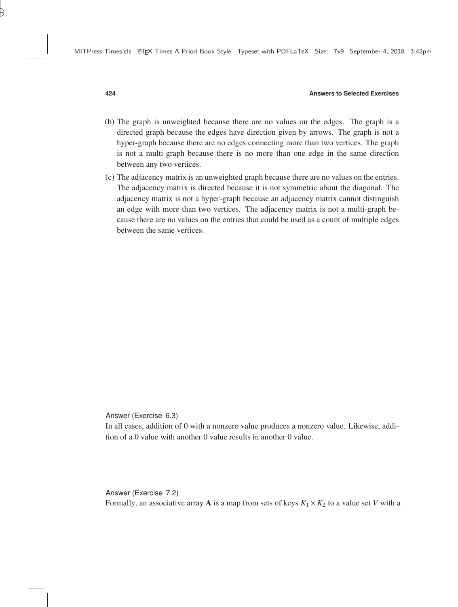- (b) The graph is unweighted because there are no values on the edges. The graph is a directed graph because the edges have direction given by arrows. The graph is not a hyper-graph because there are no edges connecting more than two vertices. The graph is not a multi-graph because there is no more than one edge in the same direction between any two vertices.
- (c) The adjacency matrix is an unweighted graph because there are no values on the entries. The adjacency matrix is directed because it is not symmetric about the diagonal. The adjacency matrix is not a hyper-graph because an adjacency matrix cannot distinguish an edge with more than two vertices. The adjacency matrix is not a multi-graph because there are no values on the entries that could be used as a count of multiple edges between the same vertices.

Answer (Exercise 6.3)

In all cases, addition of 0 with a nonzero value produces a nonzero value. Likewise, addition of a 0 value with another 0 value results in another 0 value.

Answer (Exercise 7.2) Formally, an associative array **A** is a map from sets of keys  $K_1 \times K_2$  to a value set *V* with a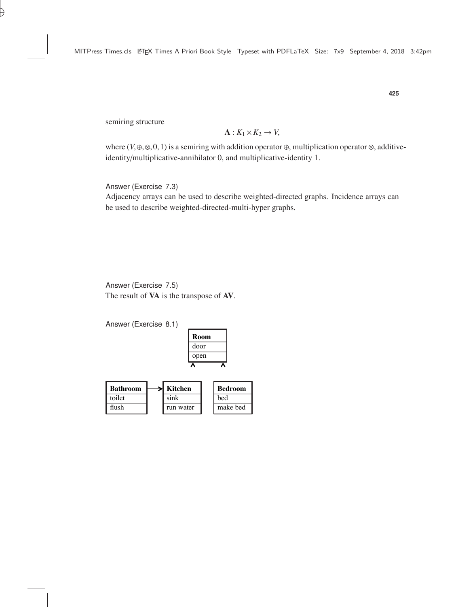semiring structure

$$
\mathbf{A}: K_1 \times K_2 \to V,
$$

where  $(V, \theta, \otimes, 0, 1)$  is a semiring with addition operator  $\theta$ , multiplication operator  $\otimes$ , additive-<br>identity/multiplicative annihilator 0, and multiplicative identity 1 identity/multiplicative-annihilator 0, and multiplicative-identity 1.

Answer (Exercise 7.3)

Adjacency arrays can be used to describe weighted-directed graphs. Incidence arrays can be used to describe weighted-directed-multi-hyper graphs.

Answer (Exercise 7.5) The result of VA is the transpose of AV.

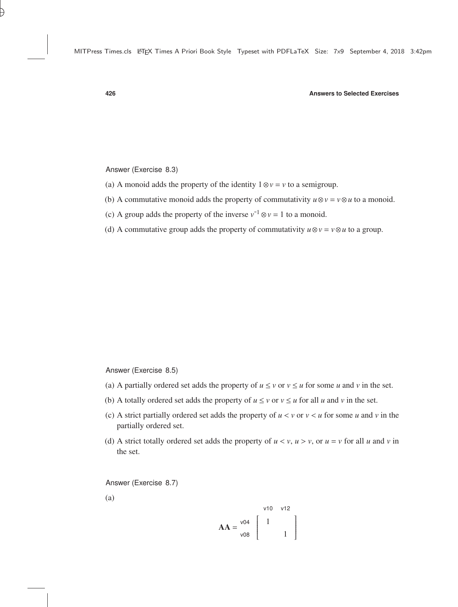Answer (Exercise 8.3)

- (a) A monoid adds the property of the identity  $1 \otimes v = v$  to a semigroup.
- (b) A commutative monoid adds the property of commutativity  $u \otimes v = v \otimes u$  to a monoid.
- (c) A group adds the property of the inverse  $v^{-1} \otimes v = 1$  to a monoid.
- (d) A commutative group adds the property of commutativity  $u \otimes v = v \otimes u$  to a group.

Answer (Exercise 8.5)

- (a) A partially ordered set adds the property of  $u \le v$  or  $v \le u$  for some *u* and *v* in the set.
- (b) A totally ordered set adds the property of  $u \le v$  or  $v \le u$  for all *u* and *v* in the set.
- (c) A strict partially ordered set adds the property of  $u < v$  or  $v < u$  for some *u* and *v* in the partially ordered set.
- (d) A strict totally ordered set adds the property of  $u < v$ ,  $u > v$ , or  $u = v$  for all *u* and *v* in the set.

Answer (Exercise 8.7)

(a)

$$
AA = \frac{v04}{v08} \begin{bmatrix} 1 \\ 1 \\ 1 \end{bmatrix}
$$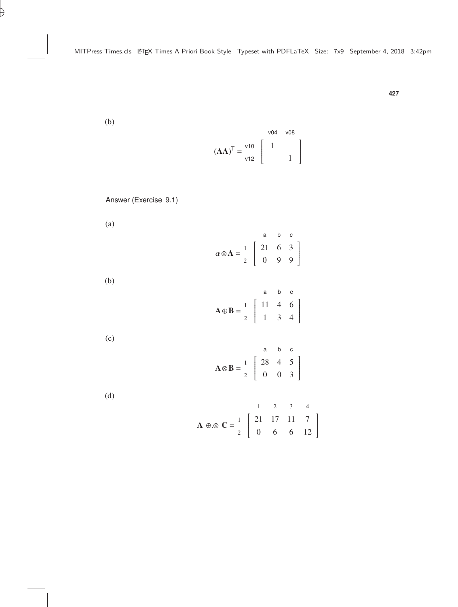(b)

$$
(AA)^T = \begin{bmatrix} \n \text{v10} & 1 & \text{v08} \\ \n \text{v12} & 1 & \text{v12} \n \end{bmatrix}
$$

Answer (Exercise 9.1)

(a)

(b)

$$
\alpha \otimes \mathbf{A} = \begin{bmatrix} a & b & c \\ 2 & 2 & 6 & 3 \\ 0 & 9 & 9 \end{bmatrix}
$$
  

$$
\mathbf{A} \oplus \mathbf{B} = \begin{bmatrix} a & b & c \\ 1 & 4 & 6 \\ 2 & 1 & 3 & 4 \end{bmatrix}
$$

(c)

$$
\mathbf{A} \otimes \mathbf{B} = \begin{bmatrix} a & b & c \\ 1 & 28 & 4 & 5 \\ 2 & 0 & 0 & 3 \end{bmatrix}
$$

(d)

$$
\mathbf{A} \oplus \otimes \mathbf{C} = \begin{bmatrix} 1 & 2 & 3 & 4 \\ 2 & 17 & 11 & 7 \\ 0 & 6 & 6 & 12 \end{bmatrix}
$$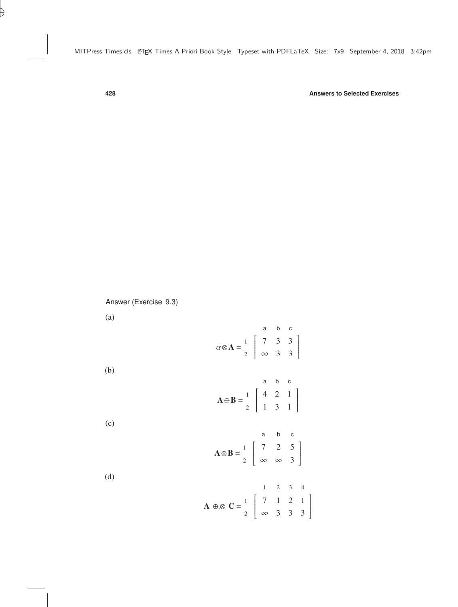Answer (Exercise 9.3)

(a)

|                                                                                                                                       |                                                                                                                     | a |  |  |
|---------------------------------------------------------------------------------------------------------------------------------------|---------------------------------------------------------------------------------------------------------------------|---|--|--|
|                                                                                                                                       | $\alpha \otimes A = \begin{bmatrix} 1 \\ 2 \end{bmatrix} \begin{bmatrix} 7 & 3 & 3 \\ \infty & 3 & 3 \end{bmatrix}$ |   |  |  |
|                                                                                                                                       |                                                                                                                     |   |  |  |
| (b)                                                                                                                                   |                                                                                                                     |   |  |  |
|                                                                                                                                       |                                                                                                                     |   |  |  |
|                                                                                                                                       |                                                                                                                     |   |  |  |
|                                                                                                                                       | $\mathbf{A} \oplus \mathbf{B} = \begin{bmatrix} 4 & 2 & 1 \\ 1 & 3 & 1 \end{bmatrix}$                               |   |  |  |
| (c)                                                                                                                                   |                                                                                                                     |   |  |  |
|                                                                                                                                       |                                                                                                                     |   |  |  |
|                                                                                                                                       |                                                                                                                     |   |  |  |
| $\mathbf{A} \otimes \mathbf{B} = \begin{bmatrix} 1 \\ 2 \end{bmatrix} \begin{bmatrix} 7 & 2 & 5 \\ \infty & \infty & 3 \end{bmatrix}$ |                                                                                                                     |   |  |  |
|                                                                                                                                       |                                                                                                                     |   |  |  |
| (d)                                                                                                                                   |                                                                                                                     |   |  |  |
| <b>A</b> $\oplus \otimes$ <b>C</b> = $\begin{bmatrix} 1 & 2 & 3 & 4 \\ 7 & 1 & 2 & 1 \\ \infty & 3 & 3 & 3 \end{bmatrix}$             |                                                                                                                     |   |  |  |
|                                                                                                                                       |                                                                                                                     |   |  |  |
|                                                                                                                                       |                                                                                                                     |   |  |  |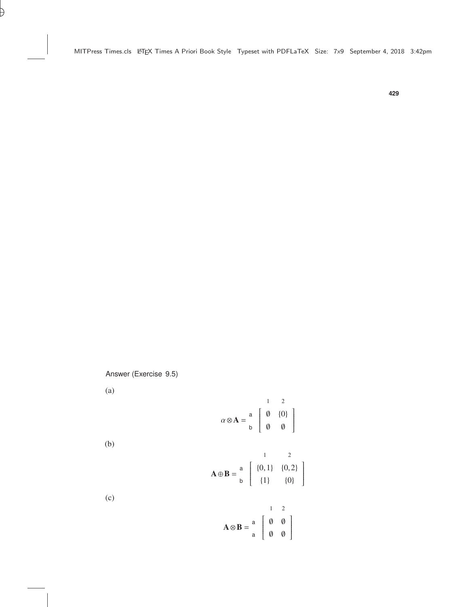Answer (Exercise 9.5)

(a)

$$
\alpha \otimes \mathbf{A} = \begin{bmatrix} 1 & 2 \\ 0 & \{0\} \\ b & 0 & 0 \end{bmatrix}
$$

(b)

$$
\mathbf{A} \oplus \mathbf{B} = \begin{bmatrix} 1 & 2 \\ 8 & 1 \\ 1 & 1 \end{bmatrix}
$$

$$
\mathbf{A} \oplus \mathbf{B} = \begin{bmatrix} 1 & 2 \\ 0 & 1 \\ 0 & 1 \end{bmatrix}
$$

(c)

$$
\mathbf{A} \otimes \mathbf{B} = \begin{bmatrix} 1 & 2 \\ 0 & 0 \\ a & 0 \end{bmatrix}
$$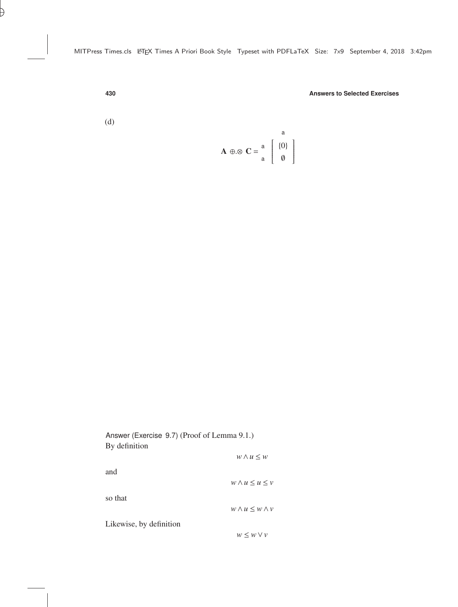(d)

$$
\mathbf{A} \oplus \otimes \mathbf{C} = \begin{bmatrix} a \\ a \\ a \end{bmatrix} \begin{bmatrix} a \\ \{0\} \\ \emptyset \end{bmatrix}
$$

| Answer (Exercise 9.7) (Proof of Lemma 9.1.) |                              |  |  |  |
|---------------------------------------------|------------------------------|--|--|--|
| By definition                               |                              |  |  |  |
|                                             | $w \wedge u \leq w$          |  |  |  |
| and                                         |                              |  |  |  |
|                                             | $w \wedge u \leq u \leq v$   |  |  |  |
| so that                                     |                              |  |  |  |
|                                             | $w \wedge u \leq w \wedge v$ |  |  |  |
|                                             |                              |  |  |  |
| Likewise, by definition                     |                              |  |  |  |
|                                             | $w \leq w \vee v$            |  |  |  |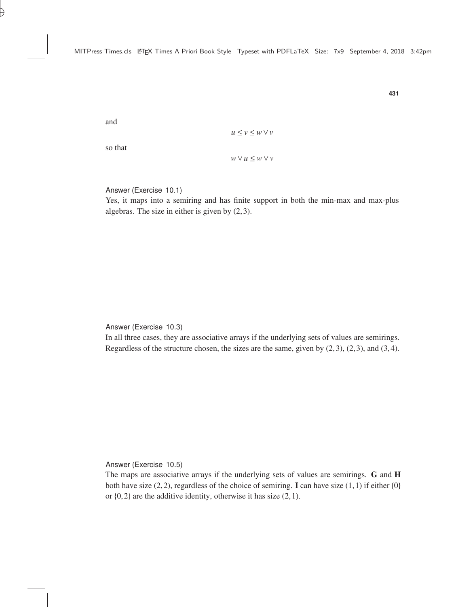and

$$
u \le v \le w \vee v
$$

so that

*w*∨*u* ≤ *w*∨*v*

Answer (Exercise 10.1)

Yes, it maps into a semiring and has finite support in both the min-max and max-plus algebras. The size in either is given by (2,3).

Answer (Exercise 10.3)

In all three cases, they are associative arrays if the underlying sets of values are semirings. Regardless of the structure chosen, the sizes are the same, given by  $(2,3)$ ,  $(2,3)$ , and  $(3,4)$ .

Answer (Exercise 10.5)

The maps are associative arrays if the underlying sets of values are semirings. G and H both have size  $(2,2)$ , regardless of the choice of semiring. I can have size  $(1,1)$  if either  $\{0\}$ or  $\{0, 2\}$  are the additive identity, otherwise it has size  $(2, 1)$ .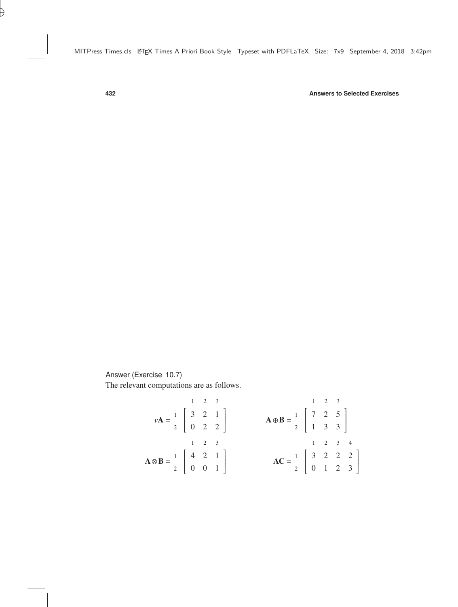Answer (Exercise 10.7)

The relevant computations are as follows.

|                                                                                                           | $1 \quad 2 \quad 3$ |                                                                                                                             |                                                                                                          | $1 \quad 2 \quad 3$                                                                                                        |  |  |
|-----------------------------------------------------------------------------------------------------------|---------------------|-----------------------------------------------------------------------------------------------------------------------------|----------------------------------------------------------------------------------------------------------|----------------------------------------------------------------------------------------------------------------------------|--|--|
|                                                                                                           |                     |                                                                                                                             |                                                                                                          | $\mathbf{A} \oplus \mathbf{B} = \begin{bmatrix} 1 \\ 2 \end{bmatrix} \begin{bmatrix} 7 & 2 & 5 \\ 1 & 3 & 3 \end{bmatrix}$ |  |  |
| $v\mathbf{A} = \begin{bmatrix} 1 \\ 2 \end{bmatrix} \begin{bmatrix} 3 & 2 & 1 \\ 0 & 2 & 2 \end{bmatrix}$ |                     |                                                                                                                             |                                                                                                          |                                                                                                                            |  |  |
|                                                                                                           | $1 \quad 2 \quad 3$ |                                                                                                                             |                                                                                                          | $1 \t2 \t3 \t4$                                                                                                            |  |  |
|                                                                                                           |                     | $\mathbf{A} \otimes \mathbf{B} = \begin{bmatrix} 1 \\ 2 \end{bmatrix} \begin{bmatrix} 4 & 2 & 1 \\ 0 & 0 & 1 \end{bmatrix}$ | $AC = \begin{bmatrix} 1 \\ 2 \end{bmatrix} \begin{bmatrix} 3 & 2 & 2 & 2 \\ 0 & 1 & 2 & 3 \end{bmatrix}$ |                                                                                                                            |  |  |
|                                                                                                           |                     |                                                                                                                             |                                                                                                          |                                                                                                                            |  |  |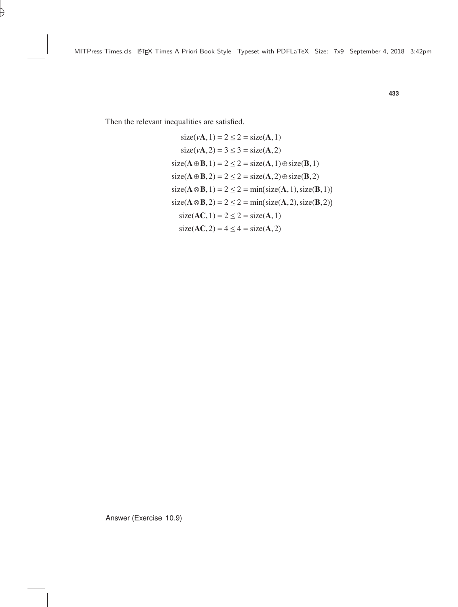Then the relevant inequalities are satisfied.

size(
$$
vA
$$
, 1) = 2 \le 2 = size(A, 1)  
\nsize( $vA$ , 2) = 3 \le 3 = size(A, 2)  
\nsize(A  $\oplus$  B, 1) = 2 \le 2 = size(A, 1)  $\oplus$  size(B, 1)  
\nsize(A  $\oplus$  B, 2) = 2 \le 2 = size(A, 2)  $\oplus$  size(B, 2)  
\nsize(A  $\otimes$  B, 1) = 2 \le 2 = min(size(A, 1), size(B, 1))  
\nsize(A  $\otimes$  B, 2) = 2 \le 2 = min(size(A, 2), size(B, 2))  
\nsize(AC, 1) = 2 \le 2 = size(A, 1)  
\nsize(AC, 2) = 4 \le 4 = size(A, 2)

Answer (Exercise 10.9)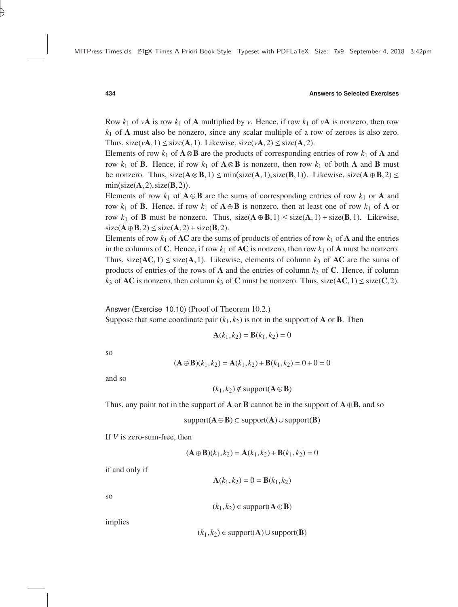Row  $k_1$  of  $v$ **A** is row  $k_1$  of **A** multiplied by  $v$ . Hence, if row  $k_1$  of  $v$ **A** is nonzero, then row  $k_1$  of  $\bf{A}$  must also be nonzero, since any scalar multiple of a row of zeroes is also zero. Thus,  $size(vA, 1) \leq size(A, 1)$ . Likewise,  $size(vA, 2) \leq size(A, 2)$ .

Elements of row  $k_1$  of  $\mathbf{A} \otimes \mathbf{B}$  are the products of corresponding entries of row  $k_1$  of  $\mathbf{A}$  and row  $k_1$  of **B**. Hence, if row  $k_1$  of  $\mathbf{A} \otimes \mathbf{B}$  is nonzero, then row  $k_1$  of both **A** and **B** must be nonzero. Thus,  $size(A \otimes B, 1) \le min(size(A, 1), size(B, 1))$ . Likewise,  $size(A \oplus B, 2) \le min(size(A, 2), size(B, 2))$ min(size( $\mathbf{A}$ , 2), size( $\mathbf{B}$ , 2)).

Elements of row  $k_1$  of  $\mathbf{A} \oplus \mathbf{B}$  are the sums of corresponding entries of row  $k_1$  or  $\mathbf{A}$  and row  $k_1$  of **B**. Hence, if row  $k_1$  of  $\mathbf{A} \oplus \mathbf{B}$  is nonzero, then at least one of row  $k_1$  of  $\mathbf{A}$  or row  $k_1$  of **B** must be nonzero. Thus, size( $\mathbf{A} \oplus \mathbf{B}$ , 1)  $\leq$  size( $\mathbf{A}$ , 1) + size( $\mathbf{B}$ , 1). Likewise,  $size(A \oplus B, 2) \leq size(A, 2) + size(B, 2).$ 

Elements of row  $k_1$  of **AC** are the sums of products of entries of row  $k_1$  of **A** and the entries in the columns of C. Hence, if row  $k_1$  of **AC** is nonzero, then row  $k_1$  of **A** must be nonzero. Thus, size( $AC, 1$ )  $\leq$  size( $A, 1$ ). Likewise, elements of column  $k_3$  of  $AC$  are the sums of products of entries of the rows of **A** and the entries of column  $k_3$  of **C**. Hence, if column  $k_3$  of **AC** is nonzero, then column  $k_3$  of **C** must be nonzero. Thus, size(**AC**, 1)  $\leq$  size(**C**, 2).

Answer (Exercise 10.10) (Proof of Theorem [10.2.](#page--1-1))

Suppose that some coordinate pair  $(k_1, k_2)$  is not in the support of **A** or **B**. Then

$$
\mathbf{A}(k_1, k_2) = \mathbf{B}(k_1, k_2) = 0
$$

so

$$
(\mathbf{A} \oplus \mathbf{B})(k_1, k_2) = \mathbf{A}(k_1, k_2) + \mathbf{B}(k_1, k_2) = 0 + 0 = 0
$$

and so

$$
(k_1, k_2) \notin \text{support}(\mathbf{A} \oplus \mathbf{B})
$$

Thus, any point not in the support of **A** or **B** cannot be in the support of  $\mathbf{A} \oplus \mathbf{B}$ , and so

support $(A \oplus B) \subset$  support $(A) \cup$  support $(B)$ 

If *V* is zero-sum-free, then

$$
(\mathbf{A} \oplus \mathbf{B})(k_1, k_2) = \mathbf{A}(k_1, k_2) + \mathbf{B}(k_1, k_2) = 0
$$

if and only if

$$
\mathbf{A}(k_1, k_2) = 0 = \mathbf{B}(k_1, k_2)
$$

so

$$
(k_1, k_2) \in \text{support}(\mathbf{A} \oplus \mathbf{B})
$$

implies

$$
(k_1, k_2) \in support(\mathbf{A}) \cup support(\mathbf{B})
$$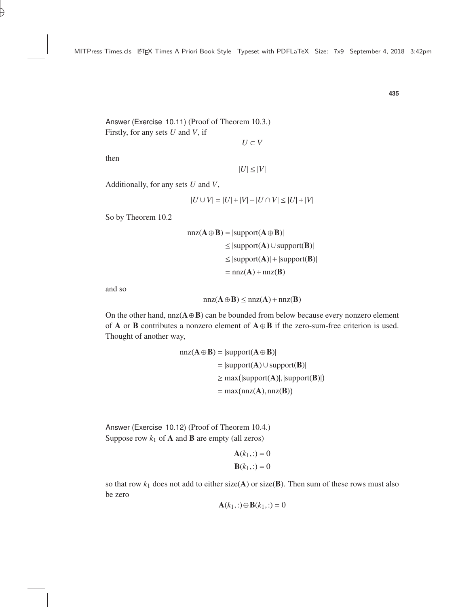Answer (Exercise 10.11) (Proof of Theorem [10.3.](#page--1-2)) Firstly, for any sets *U* and *V*, if

$$
U\subset V
$$

then

$$
|U| \leq |V|
$$

Additionally, for any sets *U* and *V*,

$$
|U \cup V| = |U| + |V| - |U \cap V| \leq |U| + |V|
$$

So by Theorem [10.2](#page--1-1)

$$
nnz(A \oplus B) = |support(A \oplus B)|
$$
  
\n
$$
\leq |support(A) \cup support(B)|
$$
  
\n
$$
\leq |support(A)| + |support(B)|
$$
  
\n
$$
= nnz(A) + nnz(B)
$$

and so

$$
nnz(\mathbf{A}\oplus\mathbf{B})\leq nnz(\mathbf{A})+nnz(\mathbf{B})
$$

On the other hand,  $nnz(A \oplus B)$  can be bounded from below because every nonzero element of A or B contributes a nonzero element of  $A \oplus B$  if the zero-sum-free criterion is used. Thought of another way,

$$
nnz(A \oplus B) = |support(A \oplus B)|
$$
  
= |support(A) \cup support(B)|  

$$
\ge max(|support(A)|, |support(B)|)
$$
  
= max(nnz(A), nnz(B))

Answer (Exercise 10.12) (Proof of Theorem [10.4.](#page--1-3)) Suppose row  $k_1$  of **A** and **B** are empty (all zeros)

$$
\mathbf{A}(k_1, :)=0
$$
  

$$
\mathbf{B}(k_1, :)=0
$$

so that row  $k_1$  does not add to either size( $A$ ) or size( $B$ ). Then sum of these rows must also be zero

$$
\mathbf{A}(k_1,:)\oplus\mathbf{B}(k_1,:)=0
$$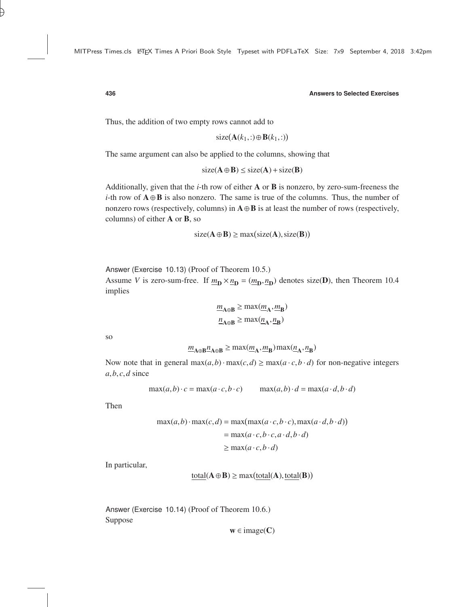Thus, the addition of two empty rows cannot add to

$$
size(\mathbf{A}(k_1,:)\oplus \mathbf{B}(k_1,:))
$$

The same argument can also be applied to the columns, showing that

$$
size(A \oplus B) \leq size(A) + size(B)
$$

Additionally, given that the *i*-th row of either A or B is nonzero, by zero-sum-freeness the *i*-th row of  $A \oplus B$  is also nonzero. The same is true of the columns. Thus, the number of nonzero rows (respectively, columns) in  $\mathbf{A} \oplus \mathbf{B}$  is at least the number of rows (respectively, columns) of either A or B, so

$$
size(\mathbf{A} \oplus \mathbf{B}) \ge max(size(\mathbf{A}), size(\mathbf{B}))
$$

Answer (Exercise 10.13) (Proof of Theorem [10.5.](#page--1-4))

Assume *V* is zero-sum-free. If  $m_{\mathbf{D}} \times n_{\mathbf{D}} = (m_{\mathbf{D}}, n_{\mathbf{D}})$  denotes size(**D**), then Theorem [10.4](#page--1-3) implies

$$
\underline{m}_{A \oplus B} \ge \max(\underline{m}_A, \underline{m}_B)
$$
  

$$
\underline{n}_{A \oplus B} \ge \max(\underline{n}_A, \underline{n}_B)
$$

so

$$
\underline{m}_{A\oplus B}\underline{n}_{A\oplus B}\geq \max(\underline{m}_A,\underline{m}_B)\max(\underline{n}_A,\underline{n}_B)
$$

Now note that in general  $max(a,b) \cdot max(c,d) \ge max(a \cdot c, b \cdot d)$  for non-negative integers  $a, b, c, d$  since

$$
\max(a, b) \cdot c = \max(a \cdot c, b \cdot c) \qquad \max(a, b) \cdot d = \max(a \cdot d, b \cdot d)
$$

Then

$$
\max(a,b) \cdot \max(c,d) = \max(\max(a \cdot c, b \cdot c), \max(a \cdot d, b \cdot d))
$$

$$
= \max(a \cdot c, b \cdot c, a \cdot d, b \cdot d)
$$

$$
\geq \max(a \cdot c, b \cdot d)
$$

In particular,

$$
total(\mathbf{A} \oplus \mathbf{B}) \ge \max(total(\mathbf{A}), \underline{total}(\mathbf{B}))
$$

Answer (Exercise 10.14) (Proof of Theorem [10.6.](#page--1-5)) Suppose

 $w \in \text{image}(C)$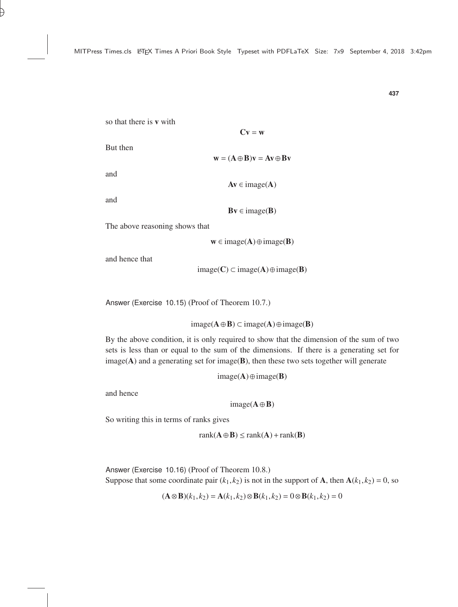so that there is v with

But then

 $\mathbf{w} = (\mathbf{A} \oplus \mathbf{B})\mathbf{v} = \mathbf{A}\mathbf{v} \oplus \mathbf{B}\mathbf{v}$ 

 $Cv = w$ 

and

 $Av \in image(A)$ 

and

 $Bv \in image(B)$ 

The above reasoning shows that

 $w \in \text{image}(A) \oplus \text{image}(B)$ 

and hence that

image( $C$ ) ⊂ image( $A$ ) ⊕ image( $B$ )

Answer (Exercise 10.15) (Proof of Theorem [10.7.](#page--1-6))

image(A⊕B) ⊂ image(A)⊕image(B)

By the above condition, it is only required to show that the dimension of the sum of two sets is less than or equal to the sum of the dimensions. If there is a generating set for  $image(A)$  and a generating set for image( $B$ ), then these two sets together will generate

 $image(A) \oplus image(B)$ 

and hence

 $image(A \oplus B)$ 

So writing this in terms of ranks gives

 $rank(A \oplus B) \leq rank(A) + rank(B)$ 

Answer (Exercise 10.16) (Proof of Theorem [10.8.](#page--1-7)) Suppose that some coordinate pair  $(k_1, k_2)$  is not in the support of **A**, then  $A(k_1, k_2) = 0$ , so

$$
(\mathbf{A} \otimes \mathbf{B})(k_1, k_2) = \mathbf{A}(k_1, k_2) \otimes \mathbf{B}(k_1, k_2) = 0 \otimes \mathbf{B}(k_1, k_2) = 0
$$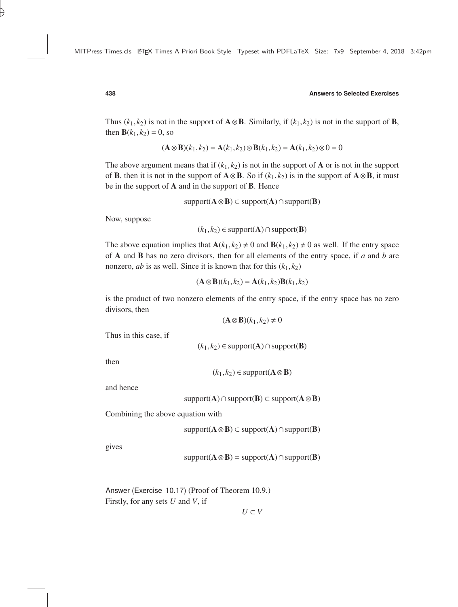Thus  $(k_1, k_2)$  is not in the support of  $\mathbf{A} \otimes \mathbf{B}$ . Similarly, if  $(k_1, k_2)$  is not in the support of  $\mathbf{B}$ , then  $B(k_1, k_2) = 0$ , so

$$
(\mathbf{A} \otimes \mathbf{B})(k_1, k_2) = \mathbf{A}(k_1, k_2) \otimes \mathbf{B}(k_1, k_2) = \mathbf{A}(k_1, k_2) \otimes 0 = 0
$$

The above argument means that if  $(k_1, k_2)$  is not in the support of **A** or is not in the support of **B**, then it is not in the support of  $\mathbf{A} \otimes \mathbf{B}$ . So if  $(k_1, k_2)$  is in the support of  $\mathbf{A} \otimes \mathbf{B}$ , it must be in the support of A and in the support of B. Hence

support $(A \otimes B) \subset$  support $(A) \cap$  support $(B)$ 

Now, suppose

 $(k_1, k_2)$  ∈ support(**A**) ∩ support(**B**)

The above equation implies that  $A(k_1, k_2) \neq 0$  and  $B(k_1, k_2) \neq 0$  as well. If the entry space of A and B has no zero divisors, then for all elements of the entry space, if *a* and *b* are nonzero, *ab* is as well. Since it is known that for this  $(k_1, k_2)$ 

$$
(\mathbf{A}\otimes\mathbf{B})(k_1,k_2)=\mathbf{A}(k_1,k_2)\mathbf{B}(k_1,k_2)
$$

is the product of two nonzero elements of the entry space, if the entry space has no zero divisors, then

$$
(\mathbf{A}\otimes \mathbf{B})(k_1,k_2)\neq 0
$$

Thus in this case, if

 $(k_1, k_2)$  ∈ support(**A**) ∩ support(**B**)

then

 $(k_1, k_2)$  ∈ support( $\bf{A} ⊗ B$ )

and hence

support( $\bf{A})$ ∩support( $\bf{B}) \subset support(\bf{A} \otimes \bf{B})$ 

Combining the above equation with

support $(A \otimes B) \subset$  support $(A) \cap$  support $(B)$ 

gives

$$
support(A \otimes B) = support(A) \cap support(B)
$$

Answer (Exercise 10.17) (Proof of Theorem [10.9.](#page--1-8)) Firstly, for any sets *U* and *V*, if

 $U ⊂ V$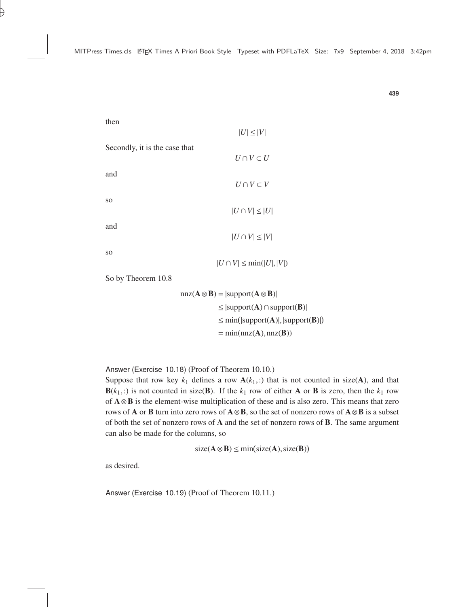then

|                               | $ U  \leq  V $                   |
|-------------------------------|----------------------------------|
| Secondly, it is the case that |                                  |
|                               | $U \cap V \subset U$             |
| and                           | $U \cap V \subset V$             |
| SO.                           | $ U \cap V  \leq  U $            |
| and                           | $ U \cap V  \leq  V $            |
| SO.                           | $ U \cap V  \leq \min( U ,  V )$ |

So by Theorem [10.8](#page--1-7)

$$
nnz(A \otimes B) = |support(A \otimes B)|
$$
  
\n
$$
\leq |support(A) \cap support(B)|
$$
  
\n
$$
\leq min(|support(A)|, |support(B)|)
$$
  
\n
$$
= min(nnz(A), nnz(B))
$$

Answer (Exercise 10.18) (Proof of Theorem [10.10.](#page--1-9))

Suppose that row key  $k_1$  defines a row  $\mathbf{A}(k_1,:)$  that is not counted in size(A), and that  $\mathbf{B}(k_1,.)$  is not counted in size( $\mathbf{B}$ ). If the  $k_1$  row of either **A** or **B** is zero, then the  $k_1$  row of A⊗B is the element-wise multiplication of these and is also zero. This means that zero rows of **A** or **B** turn into zero rows of  $\mathbf{A} \otimes \mathbf{B}$ , so the set of nonzero rows of  $\mathbf{A} \otimes \mathbf{B}$  is a subset of both the set of nonzero rows of A and the set of nonzero rows of B. The same argument can also be made for the columns, so

 $size(A \otimes B) \leq min(size(A), size(B))$ 

as desired.

Answer (Exercise 10.19) (Proof of Theorem [10.11.](#page--1-10))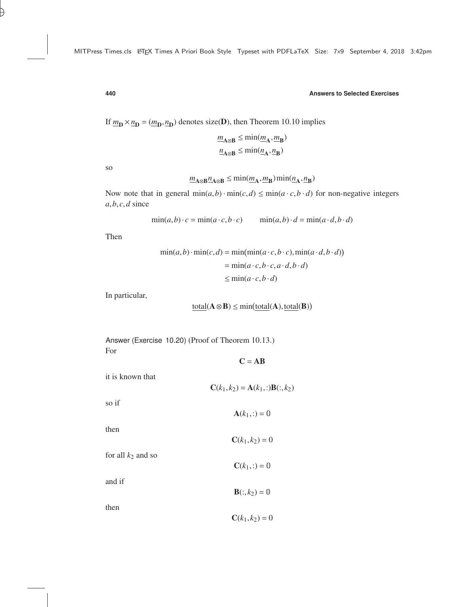If  $m_{\mathbf{D}} \times n_{\mathbf{D}} = (m_{\mathbf{D}}, n_{\mathbf{D}})$  denotes size(**D**), then Theorem [10.10](#page--1-9) implies

$$
\underline{m}_{A\otimes B}\leq \min(\underline{m}_A,\underline{m}_B)\\ \underline{n}_{A\otimes B}\leq \min(\underline{n}_A,\underline{n}_B)
$$

so

$$
\underline{m}_{A\otimes B}\underline{n}_{A\otimes B} \le \min(\underline{m}_A, \underline{m}_B) \min(\underline{n}_A, \underline{n}_B)
$$

Now note that in general  $min(a, b) \cdot min(c, d) \leq min(a \cdot c, b \cdot d)$  for non-negative integers *<sup>a</sup>*,*b*, *<sup>c</sup>*,*<sup>d</sup>* since

$$
\min(a, b) \cdot c = \min(a \cdot c, b \cdot c) \qquad \min(a, b) \cdot d = \min(a \cdot d, b \cdot d)
$$

Then

$$
\min(a, b) \cdot \min(c, d) = \min(\min(a \cdot c, b \cdot c), \min(a \cdot d, b \cdot d))
$$

$$
= \min(a \cdot c, b \cdot c, a \cdot d, b \cdot d)
$$

$$
\leq \min(a \cdot c, b \cdot d)
$$

In particular,

$$
\underline{\text{total}}(\mathbf{A} \otimes \mathbf{B}) \le \min(\underline{\text{total}}(\mathbf{A}), \underline{\text{total}}(\mathbf{B}))
$$

 $C = AB$ 

 $C(k_1, k_2) = A(k_1, :)B(:, k_2)$ 

 $C(k_1, k_2) = 0$ 

Answer (Exercise 10.20) (Proof of Theorem [10.13.](#page--1-11)) For

$$
it\ is\ known\ that
$$

for all  $k_2$  and so

 $A(k_1,:)=0$  $C(k_1, k_2) = 0$  $C(k_1,:)=0$  $$ 

then

and if

so if

then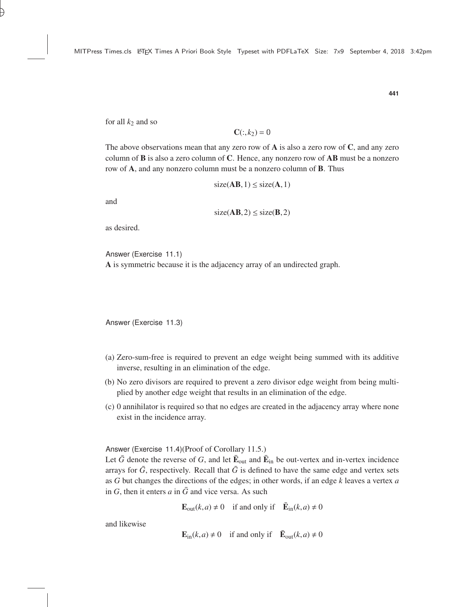for all  $k_2$  and so

$$
\mathbf{C}(:,k_2) = 0
$$

The above observations mean that any zero row of  $\bf{A}$  is also a zero row of  $\bf{C}$ , and any zero column of  $\bf{B}$  is also a zero column of  $\bf{C}$ . Hence, any nonzero row of  $\bf{AB}$  must be a nonzero row of A, and any nonzero column must be a nonzero column of B. Thus

$$
size(AB, 1) \leq size(A, 1)
$$

and

$$
size(AB,2) \leq size(B,2)
$$

as desired.

Answer (Exercise 11.1)

A is symmetric because it is the adjacency array of an undirected graph.

Answer (Exercise 11.3)

- (a) Zero-sum-free is required to prevent an edge weight being summed with its additive inverse, resulting in an elimination of the edge.
- (b) No zero divisors are required to prevent a zero divisor edge weight from being multiplied by another edge weight that results in an elimination of the edge.
- (c) 0 annihilator is required so that no edges are created in the adjacency array where none exist in the incidence array.

Answer (Exercise 11.4)(Proof of Corollary [11.5.](#page--1-12))

Let  $\bar{G}$  denote the reverse of G, and let  $\bar{E}_{out}$  and  $\bar{E}_{in}$  be out-vertex and in-vertex incidence arrays for  $\bar{G}$ , respectively. Recall that  $\bar{G}$  is defined to have the same edge and vertex sets as *G* but changes the directions of the edges; in other words, if an edge *k* leaves a vertex *a* in  $G$ , then it enters  $a$  in  $\overline{G}$  and vice versa. As such

**E**<sub>out</sub>(*k*, *a*)  $\neq$  0 if and only if  $\bar{\mathbf{E}}_{in}(k, a) \neq 0$ 

and likewise

$$
\mathbf{E}_{\text{in}}(k, a) \neq 0 \quad \text{if and only if} \quad \mathbf{\bar{E}}_{\text{out}}(k, a) \neq 0
$$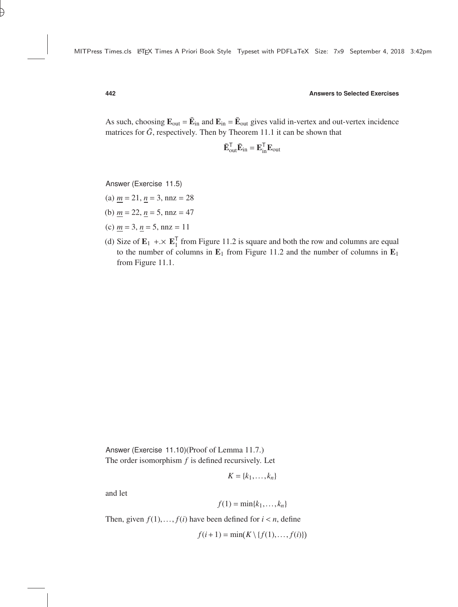As such, choosing  $\mathbf{E}_{out} = \bar{\mathbf{E}}_{in}$  and  $\mathbf{E}_{in} = \bar{\mathbf{E}}_{out}$  gives valid in-vertex and out-vertex incidence matrices for  $\bar{G}$ , respectively. Then by Theorem [11.1](#page--1-13) it can be shown that

$$
\bar{\mathbf{E}}_{out}^{\mathsf{T}}\bar{\mathbf{E}}_{in} = \mathbf{E}_{in}^{\mathsf{T}}\mathbf{E}_{out}
$$

Answer (Exercise 11.5)

- (a)  $m = 21$ ,  $n = 3$ ,  $nnz = 28$
- (b)  $m = 22$ ,  $n = 5$ ,  $nnz = 47$
- (c) *m* = 3, *n* = 5, nnz = 11
- (d) Size of  $\mathbf{E}_1 + \times \mathbf{E}_1^T$  from Figure [11.2](#page--1-14) is square and both the row and columns are equal to the number of columns in  $\mathbf{F}_1$ . from Figure 11.2 and the number of columns in  $\mathbf{F}_1$ . to the number of columns in  $E_1$  from Figure [11.2](#page--1-14) and the number of columns in  $E_1$ from Figure [11.1.](#page--1-10)

Answer (Exercise 11.10)(Proof of Lemma [11.7.](#page--1-15)) The order isomorphism *f* is defined recursively. Let

$$
K = \{k_1, \ldots, k_n\}
$$

and let

$$
f(1) = \min\{k_1, \ldots, k_n\}
$$

Then, given  $f(1),..., f(i)$  have been defined for  $i < n$ , define

 $f(i+1) = \min(K \setminus \{f(1),..., f(i)\})$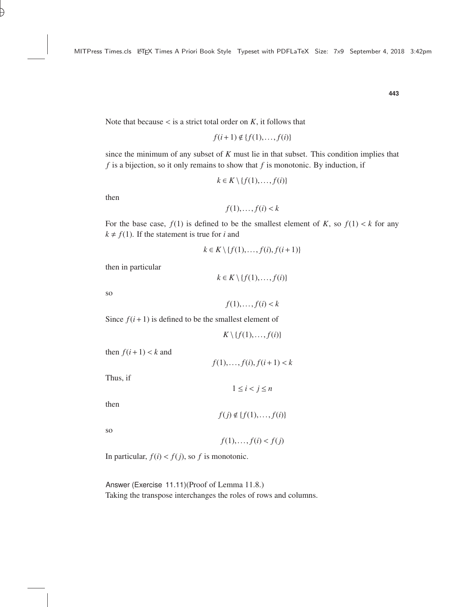Note that because  $\lt$  is a strict total order on *K*, it follows that

$$
f(i+1) \notin \{f(1), \ldots, f(i)\}
$$

since the minimum of any subset of *K* must lie in that subset. This condition implies that *f* is a bijection, so it only remains to show that *f* is monotonic. By induction, if

$$
k \in K \setminus \{f(1), \ldots, f(i)\}
$$

then

 $f(1),..., f(i) < k$ 

For the base case,  $f(1)$  is defined to be the smallest element of *K*, so  $f(1) < k$  for any  $k \neq f(1)$ . If the statement is true for *i* and

$$
k \in K \setminus \{f(1), \ldots, f(i), f(i+1)\}
$$

then in particular

 $k \in K \setminus \{f(1), \ldots, f(i)\}$ 

so

 $f(1),..., f(i) < k$ 

Since  $f(i+1)$  is defined to be the smallest element of

 $K \setminus \{f(1), \ldots, f(i)\}$ 

 $f(1),..., f(i), f(i+1) < k$ 

then  $f(i+1) < k$  and

Thus, if

 $1 \leq i < j \leq n$ 

then

```
f(j) \notin \{f(1),..., f(i)\}
```
so

 $f(1),..., f(i) < f(j)$ 

In particular,  $f(i) < f(j)$ , so *f* is monotonic.

Answer (Exercise 11.11)(Proof of Lemma [11.8.](#page--1-16)) Taking the transpose interchanges the roles of rows and columns.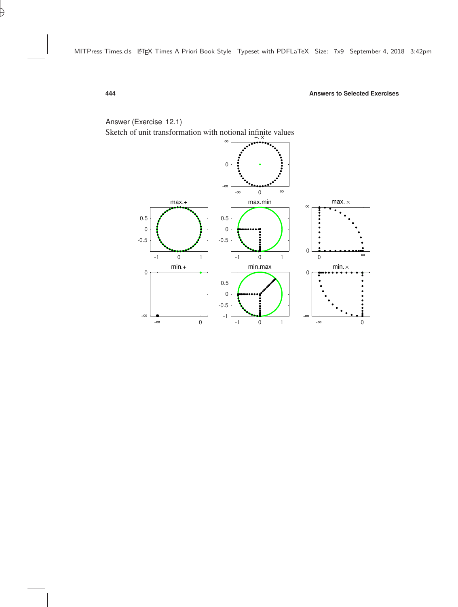

# Answer (Exercise 12.1)

Sketch of unit transformation with notional infinite values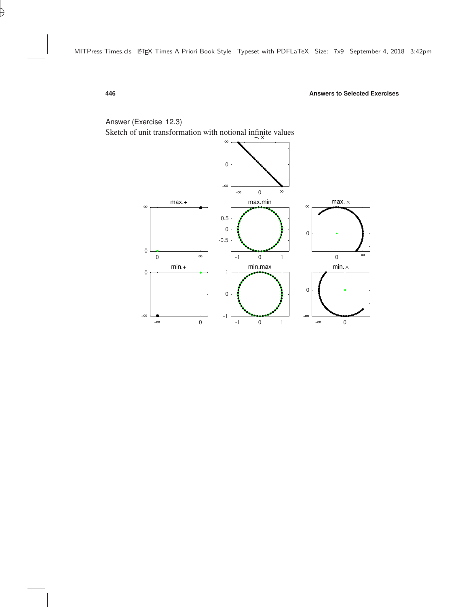

### Answer (Exercise 12.3)

Sketch of unit transformation with notional infinite values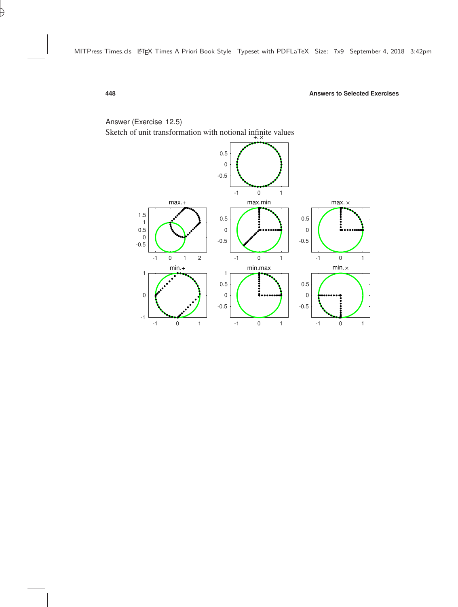

## Answer (Exercise 12.5)

Sketch of unit transformation with notional infinite values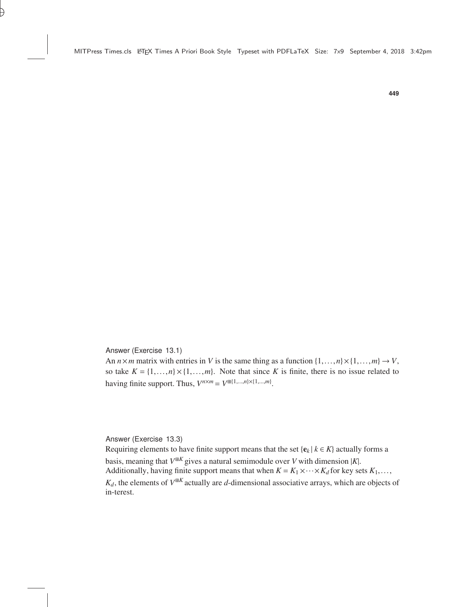Answer (Exercise 13.1)

An  $n \times m$  matrix with entries in *V* is the same thing as a function  $\{1, \ldots, n\} \times \{1, \ldots, m\} \to V$ , so take  $K = \{1, \ldots, n\} \times \{1, \ldots, m\}$ . Note that since K is finite, there is no issue related to having finite support. Thus,  $V^{n \times m} = V^{\boxplus \{1, \dots, n\} \times \{1, \dots, m\}}$ .

Answer (Exercise 13.3)

Requiring elements to have finite support means that the set  ${e_k | k \in K}$  actually forms a basis, meaning that  $V^{\# K}$  gives a natural semimodule over *V* with dimension |*K*|. Additionally, having finite support means that when  $K = K_1 \times \cdots \times K_d$  for key sets  $K_1, \ldots,$ 

 $K_d$ , the elements of  $V^{\# K}$  actually are *d*-dimensional associative arrays, which are objects of in-terest.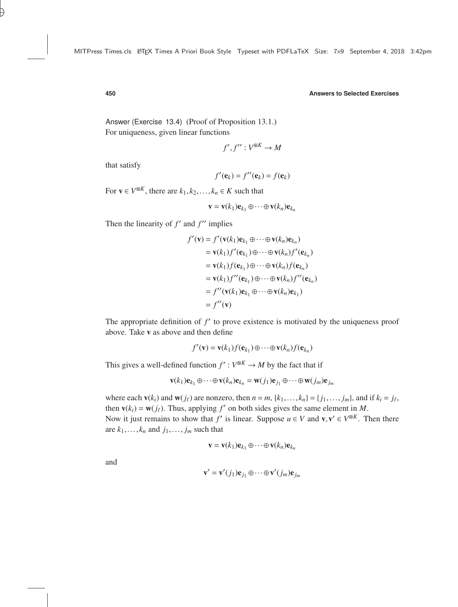Answer (Exercise 13.4) (Proof of Proposition [13.1.](#page--1-4)) For uniqueness, given linear functions

$$
f', f'': V^{\boxplus K} \to M
$$

that satisfy

$$
f'(\mathbf{e}_k) = f''(\mathbf{e}_k) = f(\mathbf{e}_k)
$$

For  $\mathbf{v} \in V^{\mathbb{B}^K}$ , there are  $k_1, k_2, \ldots, k_n \in K$  such that

$$
\mathbf{v} = \mathbf{v}(k_1)\mathbf{e}_{k_1} \oplus \cdots \oplus \mathbf{v}(k_n)\mathbf{e}_{k_n}
$$

Then the linearity of  $f'$  and  $f''$  implies

$$
f'(\mathbf{v}) = f'(\mathbf{v}(k_1)\mathbf{e}_{k_1} \oplus \cdots \oplus \mathbf{v}(k_n)\mathbf{e}_{k_n})
$$
  
=  $\mathbf{v}(k_1)f'(\mathbf{e}_{k_1}) \oplus \cdots \oplus \mathbf{v}(k_n)f'(\mathbf{e}_{k_n})$   
=  $\mathbf{v}(k_1)f(\mathbf{e}_{k_1}) \oplus \cdots \oplus \mathbf{v}(k_n)f(\mathbf{e}_{k_n})$   
=  $\mathbf{v}(k_1)f''(\mathbf{e}_{k_1}) \oplus \cdots \oplus \mathbf{v}(k_n)f''(\mathbf{e}_{k_n})$   
=  $f''(\mathbf{v}(k_1)\mathbf{e}_{k_1} \oplus \cdots \oplus \mathbf{v}(k_n)\mathbf{e}_{k_1})$   
=  $f''(\mathbf{v})$ 

The appropriate definition of  $f'$  to prove existence is motivated by the uniqueness proof above. Take v as above and then define

$$
f'(\mathbf{v}) = \mathbf{v}(k_1) f(\mathbf{e}_{k_1}) \oplus \cdots \oplus \mathbf{v}(k_n) f(\mathbf{e}_{k_n})
$$

This gives a well-defined function  $f' : V^{\#K} \to M$  by the fact that if

$$
\mathbf{v}(k_1)\mathbf{e}_{k_1}\oplus\cdots\oplus\mathbf{v}(k_n)\mathbf{e}_{k_n}=\mathbf{w}(j_1)\mathbf{e}_{j_1}\oplus\cdots\oplus\mathbf{w}(j_m)\mathbf{e}_{j_m}
$$

where each  $\mathbf{v}(k_i)$  and  $\mathbf{w}(j_\ell)$  are nonzero, then  $n = m$ ,  $\{k_1, \ldots, k_n\} = \{j_1, \ldots, j_m\}$ , and if  $k_i = j_\ell$ , then  $\mathbf{v}(k_i) = \mathbf{w}(j_\ell)$ . Thus, applying  $f'$  on both sides gives the same element in *M*. Now it just remains to show that *f'* is linear. Suppose  $u \in V$  and  $v, v' \in V^{\boxplus K}$ . Then there

are  $k_1$ ,...,  $k_n$  and  $j_1$ ,...,  $j_m$  such that

$$
\mathbf{v} = \mathbf{v}(k_1)\mathbf{e}_{k_1} \oplus \cdots \oplus \mathbf{v}(k_n)\mathbf{e}_{k_n}
$$

and

$$
\mathbf{v}' = \mathbf{v}'(j_1)\mathbf{e}_{j_1} \oplus \cdots \oplus \mathbf{v}'(j_m)\mathbf{e}_{j_m}
$$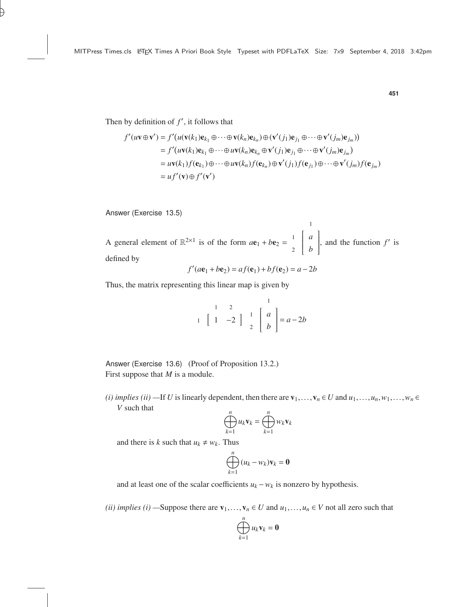Then by definition of  $f'$ , it follows that

$$
f'(uv \oplus \mathbf{v}') = f'(u(\mathbf{v}(k_1)\mathbf{e}_{k_1} \oplus \cdots \oplus \mathbf{v}(k_n)\mathbf{e}_{k_n}) \oplus (\mathbf{v}'(j_1)\mathbf{e}_{j_1} \oplus \cdots \oplus \mathbf{v}'(j_m)\mathbf{e}_{j_m}))
$$
  
\n
$$
= f'(uv(k_1)\mathbf{e}_{k_1} \oplus \cdots \oplus uv(k_n)\mathbf{e}_{k_n} \oplus \mathbf{v}'(j_1)\mathbf{e}_{j_1} \oplus \cdots \oplus \mathbf{v}'(j_m)\mathbf{e}_{j_m})
$$
  
\n
$$
= uv(k_1)f(\mathbf{e}_{k_1}) \oplus \cdots \oplus uv(k_n)f(\mathbf{e}_{k_n}) \oplus \mathbf{v}'(j_1)f(\mathbf{e}_{j_1}) \oplus \cdots \oplus \mathbf{v}'(j_m)f(\mathbf{e}_{j_m})
$$
  
\n
$$
= uf'(\mathbf{v}) \oplus f'(\mathbf{v}')
$$

Answer (Exercise 13.5)

A general element of  $\mathbb{R}^{2\times1}$  is of the form  $a\mathbf{e}_1 + b\mathbf{e}_2 =$  1 *a*  $\overline{\mathsf{l}}$ 2 *b* 1  $\overline{\phantom{a}}$ , and the function  $f'$  is defined by

1

$$
f'(a\mathbf{e}_1 + b\mathbf{e}_2) = af(\mathbf{e}_1) + bf(\mathbf{e}_2) = a - 2b
$$

Thus, the matrix representing this linear map is given by

$$
\begin{array}{cc} & 1 & 2 \\ 1 & 1 & -2 \end{array} \begin{array}{c} 1 \\ 1 \\ 2 \end{array} \begin{bmatrix} 1 \\ a \\ b \end{bmatrix} = a - 2b
$$

Answer (Exercise 13.6) (Proof of Proposition [13.2.](#page--1-17)) First suppose that *M* is a module.

*(i) implies (ii)* —If *U* is linearly dependent, then there are  $\mathbf{v}_1, \ldots, \mathbf{v}_n \in U$  and  $u_1, \ldots, u_n, w_1, \ldots, w_n \in$ *V* such that

$$
\bigoplus_{k=1}^n u_k \mathbf{v}_k = \bigoplus_{k=1}^n w_k \mathbf{v}_k
$$

and there is *k* such that  $u_k \neq w_k$ . Thus

$$
\bigoplus_{k=1}^n (u_k - w_k) \mathbf{v}_k = \mathbf{0}
$$

and at least one of the scalar coefficients  $u_k - w_k$  is nonzero by hypothesis.

*(ii) implies (i)* —Suppose there are  $\mathbf{v}_1, \ldots, \mathbf{v}_n \in U$  and  $u_1, \ldots, u_n \in V$  not all zero such that

$$
\bigoplus_{k=1}^n u_k \mathbf{v}_k = \mathbf{0}
$$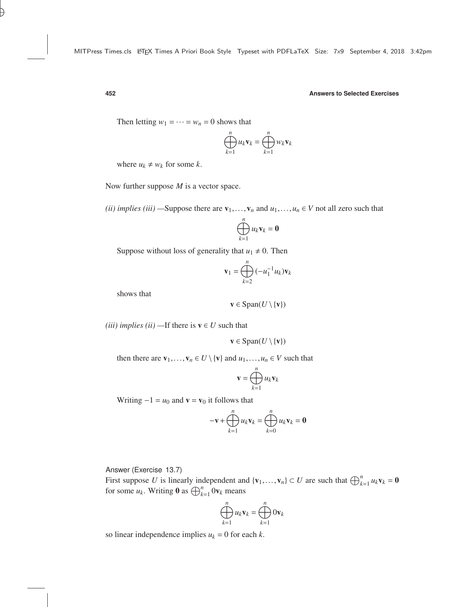Then letting  $w_1 = \cdots = w_n = 0$  shows that

$$
\bigoplus_{k=1}^n u_k \mathbf{v}_k = \bigoplus_{k=1}^n w_k \mathbf{v}_k
$$

where  $u_k \neq w_k$  for some *k*.

Now further suppose *M* is a vector space.

*(ii) implies (iii)* —Suppose there are  $\mathbf{v}_1, \ldots, \mathbf{v}_n$  and  $u_1, \ldots, u_n \in V$  not all zero such that

$$
\bigoplus_{k=1}^n u_k \mathbf{v}_k = \mathbf{0}
$$

Suppose without loss of generality that  $u_1 \neq 0$ . Then

$$
\mathbf{v}_1 = \bigoplus_{k=2}^n (-u_1^{-1}u_k)\mathbf{v}_k
$$

shows that

$$
\mathbf{v} \in \text{Span}(U \setminus \{\mathbf{v}\})
$$

*(iii) implies (ii)* —If there is  $v \in U$  such that

$$
\mathbf{v} \in \text{Span}(U \setminus \{\mathbf{v}\})
$$

then there are  $\mathbf{v}_1, \ldots, \mathbf{v}_n \in U \setminus \{\mathbf{v}\}\$  and  $u_1, \ldots, u_n \in V$  such that

$$
\mathbf{v} = \bigoplus_{k=1}^n u_k \mathbf{v}_k
$$

Writing  $-1 = u_0$  and  $\mathbf{v} = \mathbf{v}_0$  it follows that

$$
-\mathbf{v} + \bigoplus_{k=1}^n u_k \mathbf{v}_k = \bigoplus_{k=0}^n u_k \mathbf{v}_k = \mathbf{0}
$$

Answer (Exercise 13.7)

First suppose *U* is linearly independent and  $\{v_1, \ldots, v_n\} \subset U$  are such that  $\bigoplus_{k=1}^n u_k v_k = 0$ for some  $u_k$ . Writing **0** as  $\bigoplus_{k=1}^n 0 \mathbf{v}_k$  means

$$
\bigoplus_{k=1}^n u_k \mathbf{v}_k = \bigoplus_{k=1}^n 0 \mathbf{v}_k
$$

so linear independence implies  $u_k = 0$  for each  $k$ .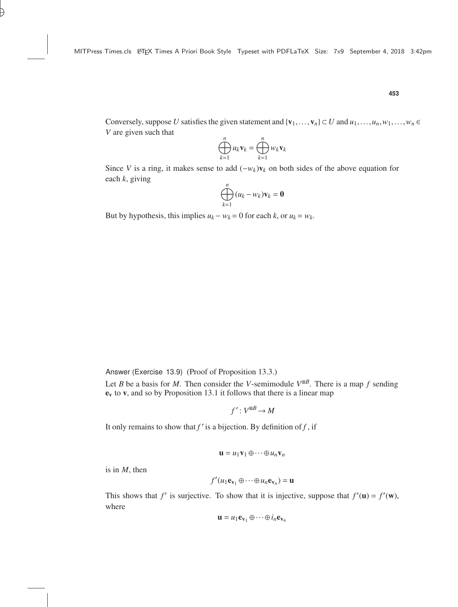Conversely, suppose *U* satisfies the given statement and  $\{v_1, \ldots, v_n\} \subset U$  and  $u_1, \ldots, u_n, w_1, \ldots, w_n \in$ *V* are given such that

$$
\bigoplus_{k=1}^n u_k \mathbf{v}_k = \bigoplus_{k=1}^n w_k \mathbf{v}_k
$$

Since *V* is a ring, it makes sense to add  $(-w_k)\mathbf{v}_k$  on both sides of the above equation for each *k*, giving

$$
\bigoplus_{k=1}^n (u_k - w_k) \mathbf{v}_k = \mathbf{0}
$$

But by hypothesis, this implies  $u_k - w_k = 0$  for each *k*, or  $u_k = w_k$ .

Answer (Exercise 13.9) (Proof of Proposition [13.3.](#page--1-18))

Let *B* be a basis for *M*. Then consider the *V*-semimodule  $V^{\text{H}B}$ . There is a map *f* sending  $e_v$  to v, and so by Proposition [13.1](#page--1-4) it follows that there is a linear map

$$
f':V^{\boxplus B}\to M
$$

It only remains to show that  $f'$  is a bijection. By definition of  $f$ , if

$$
\mathbf{u} = u_1 \mathbf{v}_1 \oplus \cdots \oplus u_n \mathbf{v}_n
$$

is in *M*, then

$$
f'(u_1\mathbf{e}_{\mathbf{v}_1}\oplus\cdots\oplus u_n\mathbf{e}_{\mathbf{v}_n})=\mathbf{u}
$$

This shows that *f'* is surjective. To show that it is injective, suppose that  $f'(\mathbf{u}) = f'(\mathbf{w})$ , where

$$
\mathbf{u} = u_1 \mathbf{e}_{\mathbf{v}_1} \oplus \cdots \oplus i_n \mathbf{e}_{\mathbf{v}_n}
$$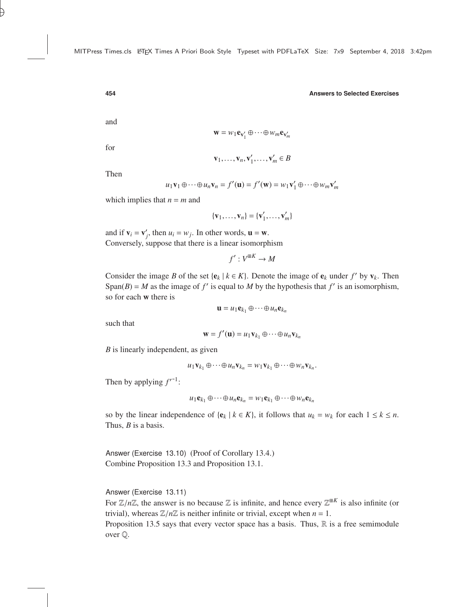and

 $\mathbf{w} = w_1 \mathbf{e}_{\mathbf{v}'_1} \oplus \cdots \oplus w_m \mathbf{e}_{\mathbf{v}'_m}$ 

for

$$
\mathbf{v}_1,\ldots,\mathbf{v}_n,\mathbf{v}'_1,\ldots,\mathbf{v}'_m\in B
$$

Then

$$
u_1\mathbf{v}_1 \oplus \cdots \oplus u_n\mathbf{v}_n = f'(\mathbf{u}) = f'(\mathbf{w}) = w_1\mathbf{v}'_1 \oplus \cdots \oplus w_m\mathbf{v}'_m
$$

which implies that  $n = m$  and

$$
\{\mathbf v_1,\ldots,\mathbf v_n\}=\{\mathbf v_1',\ldots,\mathbf v_m'\}
$$

and if  $\mathbf{v}_i = \mathbf{v}'_j$ , then  $u_i = w_j$ . In other words,  $\mathbf{u} = \mathbf{w}$ . Conversely, suppose that there is a linear isomorphism

 $f': V^{\boxplus K} \to M$ 

Consider the image *B* of the set { $e_k$  |  $k \in K$ }. Denote the image of  $e_k$  under  $f'$  by  $v_k$ . Then Span(*B*) = *M* as the image of *f*' is equal to *M* by the hypothesis that *f*' is an isomorphism, so for each w there is

$$
\mathbf{u}=u_1\mathbf{e}_{k_1}\oplus\cdots\oplus u_n\mathbf{e}_{k_n}
$$

such that

 $\mathbf{w} = f'(\mathbf{u}) = u_1 \mathbf{v}_{k_1} \oplus \cdots \oplus u_n \mathbf{v}_{k_n}$ 

*B* is linearly independent, as given

$$
u_1\mathbf{v}_{k_1}\oplus\cdots\oplus u_n\mathbf{v}_{k_n}=w_1\mathbf{v}_{k_1}\oplus\cdots\oplus w_n\mathbf{v}_{k_n}.
$$

Then by applying  $f'^{-1}$ :

$$
u_1\mathbf{e}_{k_1}\oplus\cdots\oplus u_n\mathbf{e}_{k_n}=w_1\mathbf{e}_{k_1}\oplus\cdots\oplus w_n\mathbf{e}_{k_n}
$$

so by the linear independence of  $\{e_k \mid k \in K\}$ , it follows that  $u_k = w_k$  for each  $1 \le k \le n$ . Thus, *B* is a basis.

Answer (Exercise 13.10) (Proof of Corollary [13.4.](#page--1-19)) Combine Proposition [13.3](#page--1-18) and Proposition [13.1.](#page--1-4)

Answer (Exercise 13.11)

For  $\mathbb{Z}/n\mathbb{Z}$ , the answer is no because  $\mathbb{Z}$  is infinite, and hence every  $\mathbb{Z}^{mK}$  is also infinite (or trivial), whereas  $\mathbb{Z}/n\mathbb{Z}$  is neither infinite or trivial, except when  $n-1$ trivial), whereas  $\mathbb{Z}/n\mathbb{Z}$  is neither infinite or trivial, except when  $n = 1$ . Proposition [13.5](#page--1-20) says that every vector space has a basis. Thus,  $\mathbb R$  is a free semimodule

over Q.

$$
454
$$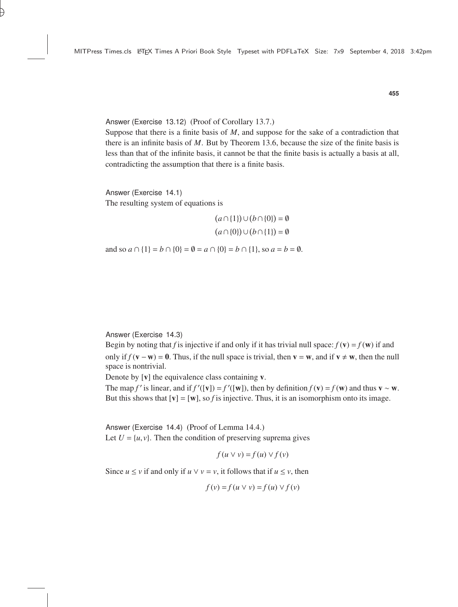Answer (Exercise 13.12) (Proof of Corollary [13.7.](#page--1-21))

Suppose that there is a finite basis of *M*, and suppose for the sake of a contradiction that there is an infinite basis of *M*. But by Theorem [13.6,](#page--1-18) because the size of the finite basis is less than that of the infinite basis, it cannot be that the finite basis is actually a basis at all, contradicting the assumption that there is a finite basis.

Answer (Exercise 14.1) The resulting system of equations is

$$
(a \cap \{1\}) \cup (b \cap \{0\}) = \emptyset
$$

$$
(a \cap \{0\}) \cup (b \cap \{1\}) = \emptyset
$$

and so  $a \cap \{1\} = b \cap \{0\} = \emptyset = a \cap \{0\} = b \cap \{1\}$ , so  $a = b = \emptyset$ .

Answer (Exercise 14.3)

Begin by noting that *f* is injective if and only if it has trivial null space:  $f(\mathbf{v}) = f(\mathbf{w})$  if and only if  $f(v - w) = 0$ . Thus, if the null space is trivial, then  $v = w$ , and if  $v \neq w$ , then the null space is nontrivial.

Denote by [**v**] the equivalence class containing **v**.

The map *f*' is linear, and if  $f'([v]) = f'([w])$ , then by definition  $f(v) = f(w)$  and thus  $v \sim w$ . But this shows that  $[v] = [w]$ , so *f* is injective. Thus, it is an isomorphism onto its image.

Answer (Exercise 14.4) (Proof of Lemma [14.4.\)](#page--1-19) Let  $U = \{u, v\}$ . Then the condition of preserving suprema gives

$$
f(u \vee v) = f(u) \vee f(v)
$$

Since  $u \le v$  if and only if  $u \vee v = v$ , it follows that if  $u \le v$ , then

$$
f(v) = f(u \lor v) = f(u) \lor f(v)
$$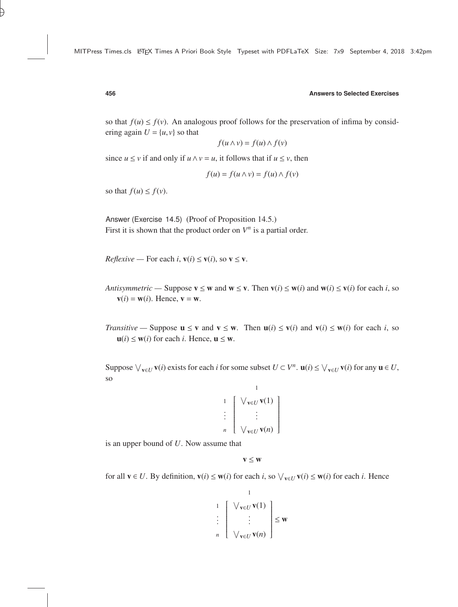so that  $f(u) \leq f(v)$ . An analogous proof follows for the preservation of infima by considering again  $U = \{u, v\}$  so that

$$
f(u \wedge v) = f(u) \wedge f(v)
$$

since  $u \le v$  if and only if  $u \wedge v = u$ , it follows that if  $u \le v$ , then

$$
f(u) = f(u \wedge v) = f(u) \wedge f(v)
$$

so that  $f(u) \leq f(v)$ .

Answer (Exercise 14.5) (Proof of Proposition [14.5.](#page--1-22)) First it is shown that the product order on  $V^n$  is a partial order.

*Reflexive* — For each *i*,  $v(i) \le v(i)$ , so  $v \le v$ .

- *Antisymmetric* Suppose  $\mathbf{v} \leq \mathbf{w}$  and  $\mathbf{w} \leq \mathbf{v}$ . Then  $\mathbf{v}(i) \leq \mathbf{w}(i)$  and  $\mathbf{w}(i) \leq \mathbf{v}(i)$  for each *i*, so  $v(i) = w(i)$ . Hence,  $v = w$ .
- *Transitive* Suppose  $\mathbf{u} \leq \mathbf{v}$  and  $\mathbf{v} \leq \mathbf{w}$ . Then  $\mathbf{u}(i) \leq \mathbf{v}(i)$  and  $\mathbf{v}(i) \leq \mathbf{w}(i)$  for each *i*, so  $u(i) \leq w(i)$  for each *i*. Hence,  $u \leq w$ .

Suppose  $\bigvee_{\mathbf{v}\in U} \mathbf{v}(i)$  exists for each *i* for some subset  $U \subset V^n$ .  $\mathbf{u}(i) \leq \bigvee_{\mathbf{v}\in U} \mathbf{v}(i)$  for any  $\mathbf{u} \in U$ , so

1

 1 W <sup>v</sup>∈*<sup>U</sup>* v(1) . . . . *n* W <sup>v</sup>∈*<sup>U</sup>* v(*n*) 

is an upper bound of *U*. Now assume that

 $\mathbf{v} \leq \mathbf{w}$ 

for all  $\mathbf{v} \in U$ . By definition,  $\mathbf{v}(i) \leq \mathbf{w}(i)$  for each *i*, so  $\bigvee_{\mathbf{v} \in U} \mathbf{v}(i) \leq \mathbf{w}(i)$  for each *i*. Hence

$$
\begin{array}{c}\n1 \\
1 \\
\vdots \\
n\n\end{array}\n\begin{bmatrix}\n\bigvee_{\mathbf{v}\in U}\mathbf{v}(1) \\
\vdots \\
\bigvee_{\mathbf{v}\in U}\mathbf{v}(n)\n\end{bmatrix} \leq \mathbf{w}
$$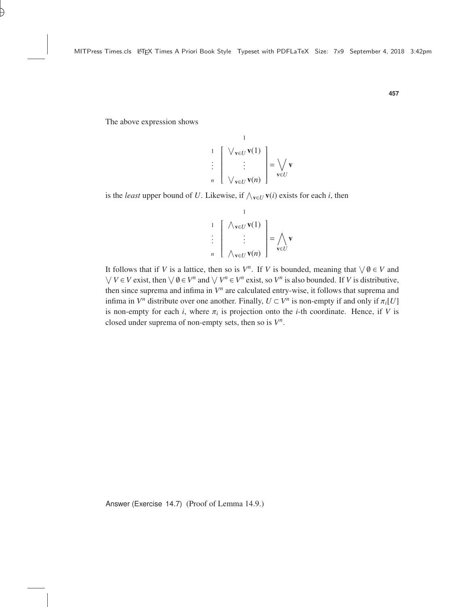The above expression shows

$$
\begin{array}{c}\n1 \\
1 \\
\vdots \\
n\n\end{array}\n\begin{bmatrix}\n\bigvee_{\mathbf{v}\in U}\mathbf{v}(1) \\
\vdots \\
\bigvee_{\mathbf{v}\in U}\mathbf{v}(n)\n\end{bmatrix} = \bigvee_{\mathbf{v}\in U}\mathbf{v}
$$

1

is the *least* upper bound of *U*. Likewise, if  $\wedge_{\mathbf{v} \in U} \mathbf{v}(i)$  exists for each *i*, then

 1 V <sup>v</sup>∈*<sup>U</sup>* v(1) . . . . *n* V <sup>v</sup>∈*<sup>U</sup>* v(*n*) = ^ v∈*U* v

1

It follows that if *V* is a lattice, then so is  $V^n$ . If *V* is bounded, meaning that  $\forall \emptyset \in V$  and  $\bigvee V \in V$  exist, then  $\bigvee \emptyset \in V^n$  and  $\bigvee V^n \in V^n$  exist, so  $V^n$  is also bounded. If *V* is distributive, then since suprema and infima in  $V<sup>n</sup>$  are calculated entry-wise, it follows that suprema and infima in  $V^n$  distribute over one another. Finally,  $U \subset V^n$  is non-empty if and only if  $\pi_i[U]$ <br>is non-empty for each *i*, where  $\pi_i$  is projection onto the *i* th coordinate. Hence, if *V* is is non-empty for each *i*, where  $\pi_i$  is projection onto the *i*-th coordinate. Hence, if *V* is closed under surrome of non-empty sets then so is  $V^n$ closed under suprema of non-empty sets, then so is  $V^n$ .

Answer (Exercise 14.7) (Proof of Lemma [14.9.](#page--1-23))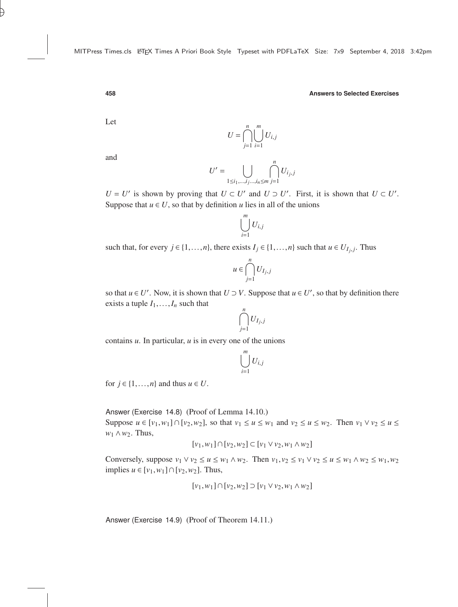Let

$$
U = \bigcap_{j=1}^{n} \bigcup_{i=1}^{m} U_{i,j}
$$

and

$$
U' = \bigcup_{1 \le i_1, \dots, i_j \dots, i_n \le m} \bigcap_{j=1}^n U_{i_j, j}
$$

 $U = U'$  is shown by proving that  $U \subset U'$  and  $U \supset U'$ . First, it is shown that  $U \subset U'$ . Suppose that  $u \in U$ , so that by definition *u* lies in all of the unions

$$
\bigcup_{i=1}^m U_{i,j}
$$

such that, for every  $j \in \{1, ..., n\}$ , there exists  $I_j \in \{1, ..., n\}$  such that  $u \in U_{I_j, j}$ . Thus

$$
u\in \bigcap_{j=1}^n U_{I_j,j}
$$

so that  $u \in U'$ . Now, it is shown that  $U \supset V$ . Suppose that  $u \in U'$ , so that by definition there exists a tuple  $I_1, \ldots, I_n$  such that

$$
\bigcap_{j=1}^n U_{I_j,j}
$$

contains *u*. In particular, *u* is in every one of the unions

$$
\bigcup_{i=1}^m U_{i,j}
$$

for  $j \in \{1, \ldots, n\}$  and thus  $u \in U$ .

Answer (Exercise 14.8) (Proof of Lemma [14.10.](#page--1-24))

Suppose  $u \in [v_1, w_1] \cap [v_2, w_2]$ , so that  $v_1 \le u \le w_1$  and  $v_2 \le u \le w_2$ . Then  $v_1 \vee v_2 \le u \le v_1$ *w*<sup>1</sup> ∧*w*2. Thus,

$$
[v_1, w_1] \cap [v_2, w_2] \subset [v_1 \vee v_2, w_1 \wedge w_2]
$$

Conversely, suppose  $v_1 \vee v_2 \le u \le w_1 \wedge w_2$ . Then  $v_1, v_2 \le v_1 \vee v_2 \le u \le w_1 \wedge w_2 \le w_1, w_2$ implies  $u \in [v_1, w_1] \cap [v_2, w_2]$ . Thus,

$$
[v_1, w_1] \cap [v_2, w_2] \supset [v_1 \vee v_2, w_1 \wedge w_2]
$$

Answer (Exercise 14.9) (Proof of Theorem [14.11.](#page--1-21))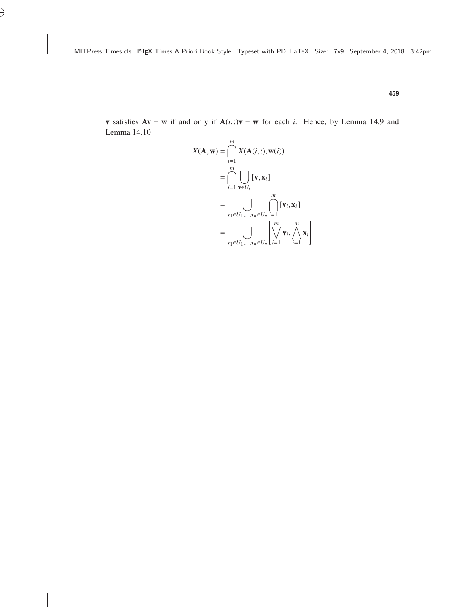$$
X(\mathbf{A}, \mathbf{w}) = \bigcap_{i=1}^{m} X(\mathbf{A}(i, :), \mathbf{w}(i))
$$
  
\n
$$
= \bigcap_{i=1}^{m} \bigcup_{\mathbf{v} \in U_i} [\mathbf{v}, \mathbf{x}_i]
$$
  
\n
$$
= \bigcup_{\mathbf{v}_1 \in U_1, \dots, \mathbf{v}_n \in U_n} \bigcap_{i=1}^{m} [\mathbf{v}_i, \mathbf{x}_i]
$$
  
\n
$$
= \bigcup_{\mathbf{v}_1 \in U_1, \dots, \mathbf{v}_n \in U_n} \left[ \bigvee_{i=1}^{m} \mathbf{v}_i, \bigwedge_{i=1}^{m} \mathbf{x}_i \right]
$$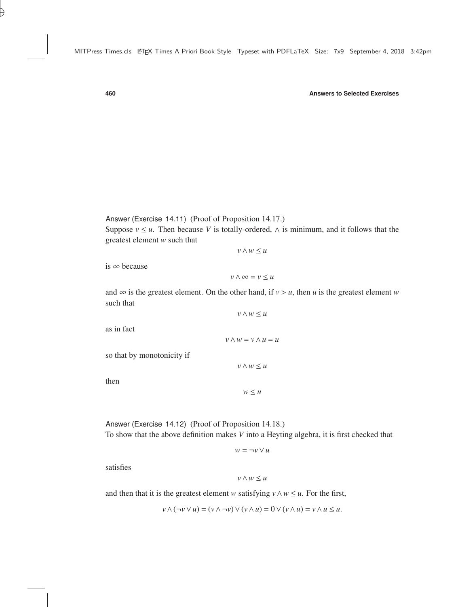Answer (Exercise 14.11) (Proof of Proposition [14.17.](#page--1-25)) Suppose  $v \le u$ . Then because *V* is totally-ordered,  $\wedge$  is minimum, and it follows that the greatest element *w* such that

*v*∧*w* ≤ *u*

is ∞ because

*v*∧∞ = *v* ≤ *u*

and  $\infty$  is the greatest element. On the other hand, if  $v > u$ , then *u* is the greatest element *w* such that *v*∧*w* ≤ *u*

*v*∧*w* = *v*∧*u* = *u*

*v*∧*w* ≤ *u*

as in fact

so that by monotonicity if

then

 $w \leq u$ 

Answer (Exercise 14.12) (Proof of Proposition [14.18.](#page--1-4)) To show that the above definition makes *V* into a Heyting algebra, it is first checked that

$$
w = \neg v \lor u
$$

satisfies

$$
v\wedge w\leq u
$$

and then that it is the greatest element *w* satisfying  $v \wedge w \le u$ . For the first,

$$
v \wedge (\neg v \vee u) = (v \wedge \neg v) \vee (v \wedge u) = 0 \vee (v \wedge u) = v \wedge u \le u.
$$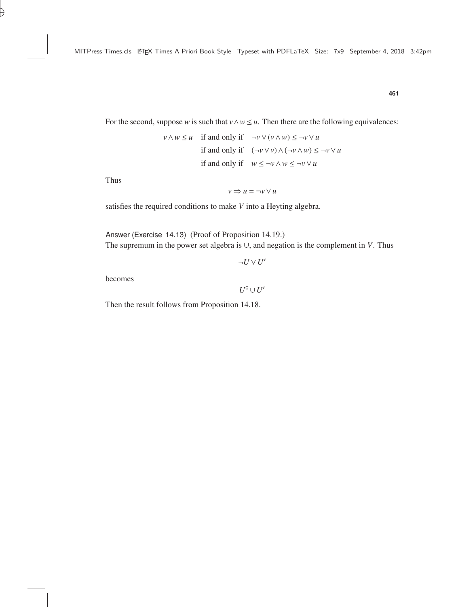$$
v \wedge w \le u \quad \text{if and only if} \quad \neg v \vee (v \wedge w) \le \neg v \vee u
$$
\n
$$
\text{if and only if} \quad (\neg v \vee v) \wedge (\neg v \wedge w) \le \neg v \vee u
$$
\n
$$
\text{if and only if} \quad w \le \neg v \wedge w \le \neg v \vee u
$$

Thus

$$
v\Rightarrow u=\neg v\vee u
$$

satisfies the required conditions to make *V* into a Heyting algebra.

Answer (Exercise 14.13) (Proof of Proposition [14.19.\)](#page--1-23) The supremum in the power set algebra is ∪, and negation is the complement in *V*. Thus

$$
\neg U \vee U'
$$

becomes

 $U^{\texttt{C}}\cup U'$ 

Then the result follows from Proposition [14.18.](#page--1-4)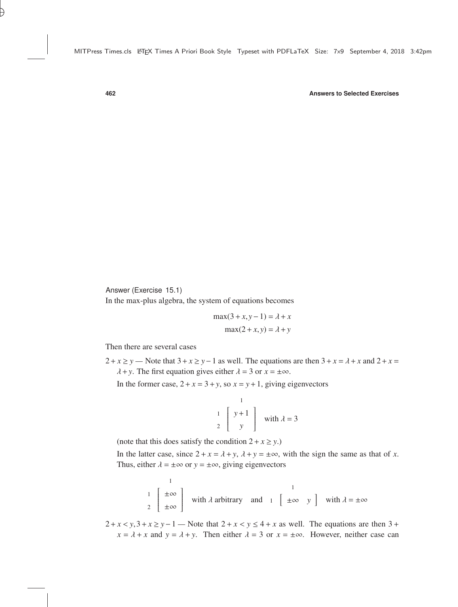Answer (Exercise 15.1)

In the max-plus algebra, the system of equations becomes

$$
\max(3 + x, y - 1) = \lambda + x
$$

$$
\max(2 + x, y) = \lambda + y
$$

Then there are several cases

 $2 + x \ge y$  — Note that  $3 + x \ge y - 1$  as well. The equations are then  $3 + x = \lambda + x$  and  $2 + x =$  $\lambda$ +*y*. The first equation gives either  $\lambda$  = 3 or  $x = \pm \infty$ .

In the former case,  $2 + x = 3 + y$ , so  $x = y + 1$ , giving eigenvectors

$$
\begin{bmatrix} 1 \\ 1 \\ 2 \end{bmatrix} \begin{bmatrix} y+1 \\ y \end{bmatrix} \text{ with } \lambda = 3
$$

(note that this does satisfy the condition  $2 + x \ge y$ .)

In the latter case, since  $2 + x = \lambda + y$ ,  $\lambda + y = \pm \infty$ , with the sign the same as that of *x*. Thus, either  $\lambda = \pm \infty$  or  $y = \pm \infty$ , giving eigenvectors

$$
\begin{array}{c}\n1 \\
1 \\
2\n\end{array}\n\left[\begin{array}{c}\n\pm\infty \\
\pm\infty\n\end{array}\right]\n\text{ with } \lambda \text{ arbitrary and } 1\n\left[\begin{array}{c}\n1 \\
\pm\infty\n\end{array}\right]\n\text{ with } \lambda = \pm\infty
$$

 $2 + x < y$ ,  $3 + x \ge y - 1$  — Note that  $2 + x < y \le 4 + x$  as well. The equations are then  $3 + x \le y - 1$  $x = \lambda + x$  and  $y = \lambda + y$ . Then either  $\lambda = 3$  or  $x = \pm \infty$ . However, neither case can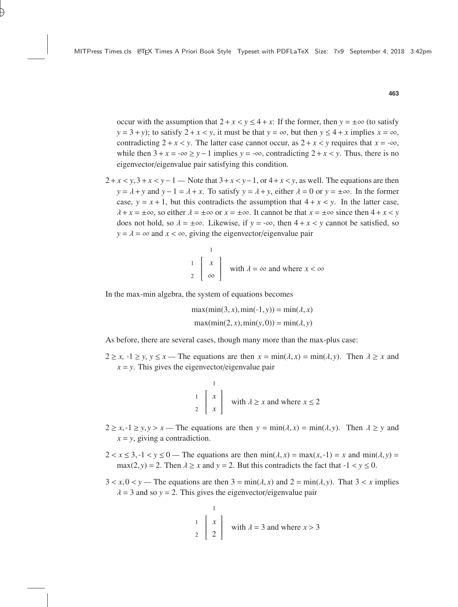occur with the assumption that  $2 + x < y \le 4 + x$ : If the former, then  $y = \pm \infty$  (to satisfy  $y = 3 + y$ ; to satisfy  $2 + x < y$ , it must be that  $y = \infty$ , but then  $y \le 4 + x$  implies  $x = \infty$ , contradicting  $2 + x < y$ . The latter case cannot occur, as  $2 + x < y$  requires that  $x = -\infty$ , while then  $3 + x = -\infty > y - 1$  implies  $y = -\infty$ , contradicting  $2 + x < y$ . Thus, there is no eigenvector/eigenvalue pair satisfying this condition.

 $2 + x < y$ ,  $3 + x < y - 1$  — Note that  $3 + x < y - 1$ , or  $4 + x < y$ , as well. The equations are then *y* =  $\lambda$  + *y* and *y* − 1 =  $\lambda$  + *x*. To satisfy *y* =  $\lambda$  + *y*, either  $\lambda$  = 0 or *y* = ±∞. In the former case,  $y = x + 1$ , but this contradicts the assumption that  $4 + x < y$ . In the latter case,  $\lambda + x = \pm \infty$ , so either  $\lambda = \pm \infty$  or  $x = \pm \infty$ . It cannot be that  $x = \pm \infty$  since then  $4 + x < y$ does not hold, so  $\lambda = \pm \infty$ . Likewise, if  $y = -\infty$ , then  $4 + x < y$  cannot be satisfied, so  $y = \lambda = \infty$  and  $x < \infty$ , giving the eigenvector/eigenvalue pair

$$
\begin{bmatrix} 1 \\ x \\ 2 \end{bmatrix} \text{ with } \lambda = \infty \text{ and where } x < \infty
$$

In the max-min algebra, the system of equations becomes

$$
\max(\min(3, x), \min(-1, y)) = \min(\lambda, x)
$$

$$
\max(\min(2, x), \min(y, 0)) = \min(\lambda, y)
$$

As before, there are several cases, though many more than the max-plus case:

 $2 \ge x$ ,  $-1 \ge y$ ,  $y \le x$  — The equations are then  $x = \min(\lambda, x) = \min(\lambda, y)$ . Then  $\lambda \ge x$  and  $x = y$ . This gives the eigenvector/eigenvalue pair

$$
\begin{array}{c}\n1 \\
\frac{1}{2} \begin{bmatrix} x \\ x \end{bmatrix} \text{ with } \lambda \ge x \text{ and where } x \le 2\n\end{array}
$$

- $2 \ge x, -1 \ge y, y > x$  The equations are then  $y = min(\lambda, x) = min(\lambda, y)$ . Then  $\lambda \ge y$  and  $x = y$ , giving a contradiction.
- $2 < x \leq 3, -1 < y \leq 0$  The equations are then  $\min(\lambda, x) = \max(x, -1) = x$  and  $\min(\lambda, y) = 0$ max(2, *y*) = 2. Then  $\lambda \ge x$  and  $y = 2$ . But this contradicts the fact that  $-1 < y \le 0$ .
- $3 < x, 0 < y$  The equations are then  $3 = min(\lambda, x)$  and  $2 = min(\lambda, y)$ . That  $3 < x$  implies  $\lambda = 3$  and so  $y = 2$ . This gives the eigenvector/eigenvalue pair

$$
\begin{bmatrix} 1 \\ 1 \\ 2 \end{bmatrix}
$$
 with  $\lambda = 3$  and where  $x > 3$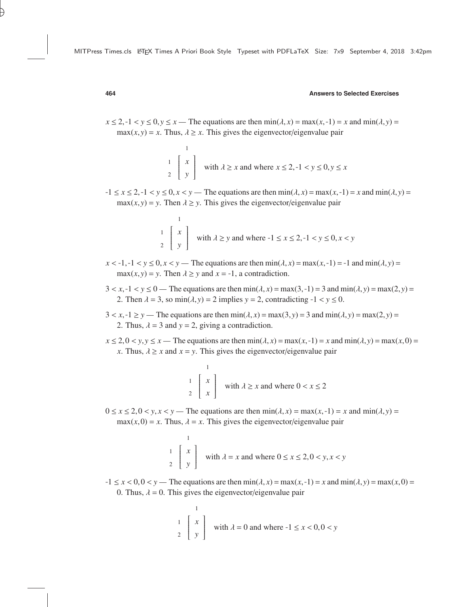$x \le 2, -1 < y \le 0, y \le x$  — The equations are then  $\min(\lambda, x) = \max(x, -1) = x$  and  $\min(\lambda, y) =$  $max(x, y) = x$ . Thus,  $\lambda \geq x$ . This gives the eigenvector/eigenvalue pair

$$
\begin{array}{c}\n1 \\
\downarrow \\
2\n\end{array}
$$
\n
$$
\begin{array}{c}\n1 \\
\downarrow \\
y\n\end{array}
$$
\nwith  $\lambda \ge x$  and where  $x \le 2, -1 < y \le 0, y \le x$ 

 $-1 \le x \le 2, -1 < y \le 0, x < y$  — The equations are then  $\min(\lambda, x) = \max(x, -1) = x$  and  $\min(\lambda, y) =$  $max(x, y) = y$ . Then  $\lambda \ge y$ . This gives the eigenvector/eigenvalue pair

$$
\begin{array}{c}\n1 \\
\downarrow \\
2\n\end{array}
$$
\n
$$
\begin{array}{c}\n\downarrow \\
y\n\end{array}
$$
\nwith  $\lambda \ge y$  and where  $-1 \le x \le 2, -1 < y \le 0, x < y$ 

- $x < -1, -1 < y \le 0, x < y$  The equations are then  $\min(\lambda, x) = \max(x, -1) = -1$  and  $\min(\lambda, y) =$  $max(x, y) = y$ . Then  $\lambda \ge y$  and  $x = -1$ , a contradiction.
- $3 < x, -1 < y \le 0$  The equations are then min $(\lambda, x) = \max(3, -1) = 3$  and  $\min(\lambda, y) = \max(2, y) = 3$ 2. Then  $\lambda = 3$ , so min $(\lambda, y) = 2$  implies  $y = 2$ , contradicting  $-1 < y \le 0$ .
- $3 < x, -1 \ge y$  The equations are then  $\min(\lambda, x) = \max(3, y) = 3$  and  $\min(\lambda, y) = \max(2, y) = 3$ 2. Thus,  $\lambda = 3$  and  $y = 2$ , giving a contradiction.
- $x \le 2, 0 \le y, y \le x$  The equations are then  $\min(\lambda, x) = \max(x, -1) = x$  and  $\min(\lambda, y) = \max(x, 0) = 0$ *x*. Thus,  $\lambda \geq x$  and  $x = y$ . This gives the eigenvector/eigenvalue pair

$$
\begin{array}{c}\n1 \\
\downarrow \\
2\n\end{array}
$$
\n
$$
\begin{array}{c}\n\downarrow \\
x\n\end{array}
$$
\nwith  $\lambda \ge x$  and where  $0 < x \le 2$ 

 $0 \le x \le 2$ ,  $0 \le y, x \le y$ — The equations are then  $\min(\lambda, x) = \max(x, -1) = x$  and  $\min(\lambda, y) =$  $max(x, 0) = x$ . Thus,  $\lambda = x$ . This gives the eigenvector/eigenvalue pair

$$
\begin{array}{c}\n1 \\
\frac{1}{2} \begin{bmatrix} x \\ y \end{bmatrix} \text{ with } \lambda = x \text{ and where } 0 \le x \le 2, 0 < y, x < y\n\end{array}
$$

 $-1 \le x < 0, 0 < y$  — The equations are then  $\min(\lambda, x) = \max(x, -1) = x$  and  $\min(\lambda, y) = \max(x, 0) = 0$ 0. Thus,  $\lambda = 0$ . This gives the eigenvector/eigenvalue pair

$$
\begin{bmatrix} 1 \\ 1 \\ 2 \end{bmatrix} \begin{bmatrix} x \\ y \end{bmatrix}
$$
 with  $\lambda = 0$  and where  $-1 \le x < 0, 0 < y$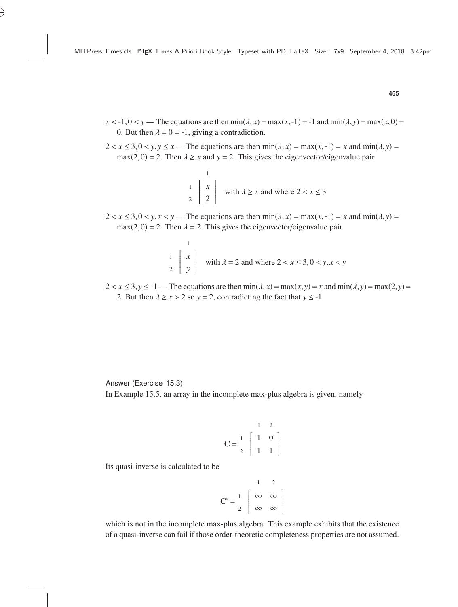- $x < -1, 0 < y$  The equations are then  $\min(\lambda, x) = \max(x, -1) = -1$  and  $\min(\lambda, y) = \max(x, 0) = 0$ 0. But then  $\lambda = 0 = -1$ , giving a contradiction.
- $2 < x \leq 3, 0 < y, y \leq x$  The equations are then  $\min(\lambda, x) = \max(x, -1) = x$  and  $\min(\lambda, y) =$  $max(2,0) = 2$ . Then  $\lambda \ge x$  and  $y = 2$ . This gives the eigenvector/eigenvalue pair

$$
\begin{array}{c}\n1 \\
\frac{1}{2} \\
2\n\end{array}
$$
 with  $\lambda \ge x$  and where  $2 < x \le 3$ 

 $2 < x \leq 3, 0 < y, x < y$  — The equations are then  $\min(\lambda, x) = \max(x, -1) = x$  and  $\min(\lambda, y) =$  $max(2,0) = 2$ . Then  $\lambda = 2$ . This gives the eigenvector/eigenvalue pair

$$
\begin{bmatrix} 1 \\ 1 \\ 2 \end{bmatrix} \text{ with } \lambda = 2 \text{ and where } 2 < x \le 3, 0 < y, x < y
$$

 $2 < x \leq 3, y \leq -1$  — The equations are then  $min(\lambda, x) = max(x, y) = x$  and  $min(\lambda, y) = max(2, y) =$ 2. But then  $\lambda \ge x > 2$  so  $y = 2$ , contradicting the fact that  $y \le -1$ .

Answer (Exercise 15.3) In Example [15.5,](#page--1-21) an array in the incomplete max-plus algebra is given, namely

$$
\mathbf{C} = \begin{bmatrix} 1 & 2 \\ 1 & 0 \\ 2 & 1 & 1 \end{bmatrix}
$$

Its quasi-inverse is calculated to be

$$
\mathbf{C}^* = \begin{bmatrix} 1 & 2 \\ 1 & \infty & \infty \\ 2 & \infty & \infty \end{bmatrix}
$$

which is not in the incomplete max-plus algebra. This example exhibits that the existence of a quasi-inverse can fail if those order-theoretic completeness properties are not assumed.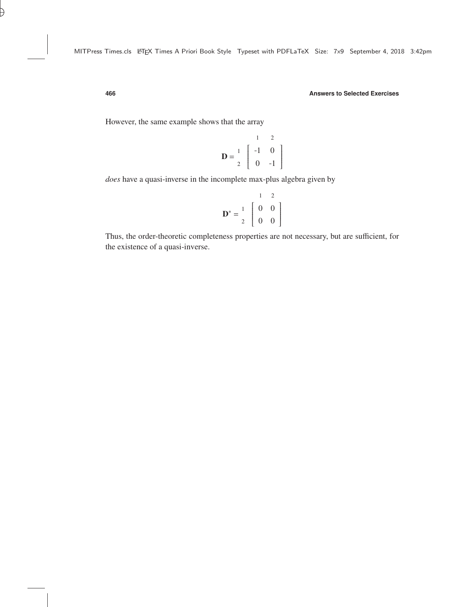However, the same example shows that the array

$$
\mathbf{D} = \begin{bmatrix} 1 & 2 \\ 1 & 0 \\ 2 & 0 & -1 \end{bmatrix}
$$

*does* have a quasi-inverse in the incomplete max-plus algebra given by

$$
\mathbf{D}^* = \begin{bmatrix} 1 & 2 \\ 1 & 0 & 0 \\ 2 & 0 & 0 \end{bmatrix}
$$

Thus, the order-theoretic completeness properties are not necessary, but are sufficient, for the existence of a quasi-inverse.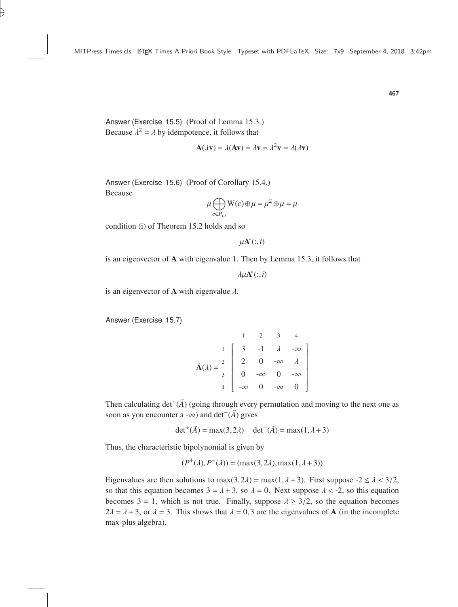Answer (Exercise 15.5) (Proof of Lemma [15.3.](#page--1-26)) Because  $\lambda^2 = \lambda$  by idempotence, it follows that

$$
\mathbf{A}(\lambda \mathbf{v}) = \lambda(\mathbf{A}\mathbf{v}) = \lambda \mathbf{v} = \lambda^2 \mathbf{v} = \lambda(\lambda \mathbf{v})
$$

Answer (Exercise 15.6) (Proof of Corollary [15.4.](#page--1-27)) Because

$$
\mu \bigoplus_{c \in P_{i,i}} \mathbf{W}(c) \oplus \mu = \mu^2 \oplus \mu = \mu
$$

condition (i) of Theorem [15.2](#page--1-28) holds and so

 $\mu$ **A**<sup>\*</sup>(:,*i*)

is an eigenvector of A with eigenvalue 1. Then by Lemma [15.3,](#page--1-26) it follows that

 $\lambda \mu \mathbf{A}^*(:, i)$ 

is an eigenvector of **A** with eigenvalue  $\lambda$ .

Answer (Exercise 15.7)

$$
\tilde{\mathbf{A}}(\lambda) = \begin{bmatrix}\n1 & 2 & 3 & 4 \\
1 & 3 & -1 & \lambda & -\infty \\
2 & 0 & -\infty & \lambda \\
3 & 0 & -\infty & 0 & -\infty \\
4 & -\infty & 0 & -\infty & 0\n\end{bmatrix}
$$

Then calculating  $det^+(\tilde{A})$  (going through every permutation and moving to the next one as soon as you encounter a -∞) and det<sup>-</sup>( $\tilde{A}$ ) gives

det<sup>+</sup>( $\tilde{A}$ ) = max(3,2 $\lambda$ ) det<sup>-</sup>( $\tilde{A}$ ) = max(1,  $\lambda$ +3)

Thus, the characteristic bipolynomial is given by

$$
(P^+(\lambda), P^-(\lambda)) = (\max(3, 2\lambda), \max(1, \lambda + 3))
$$

Eigenvalues are then solutions to max $(3,2\lambda)$  = max $(1,\lambda+3)$ . First suppose -2 ≤  $\lambda$  < 3/2, so that this equation becomes  $3 = \lambda + 3$ , so  $\lambda = 0$ . Next suppose  $\lambda < -2$ , so this equation becomes  $3 = 1$ , which is not true. Finally, suppose  $\lambda \geq 3/2$ , so the equation becomes  $2\lambda = \lambda + 3$ , or  $\lambda = 3$ . This shows that  $\lambda = 0.3$  are the eigenvalues of **A** (in the incomplete max-plus algebra).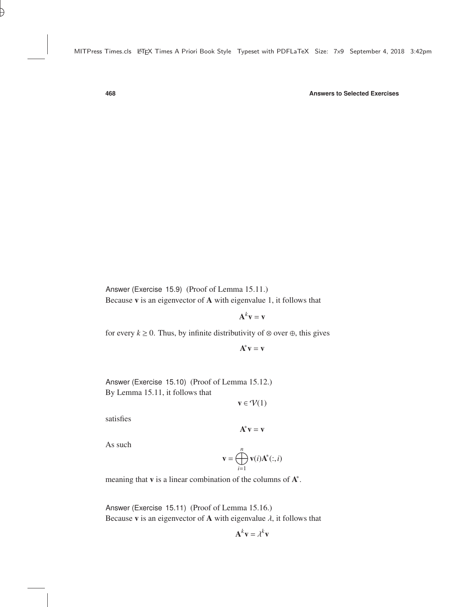Answer (Exercise 15.9) (Proof of Lemma [15.11.](#page--1-29)) Because v is an eigenvector of A with eigenvalue 1, it follows that

 $\mathbf{A}^k \mathbf{v} = \mathbf{v}$ 

for every  $k \ge 0$ . Thus, by infinite distributivity of ⊗ over ⊕, this gives

 $\mathbf{A}^*\mathbf{v} = \mathbf{v}$ 

Answer (Exercise 15.10) (Proof of Lemma [15.12.](#page--1-30)) By Lemma [15.11,](#page--1-29) it follows that

 $\mathbf{v} \in \mathcal{V}(1)$ 

satisfies

 $\mathbf{A}^*\mathbf{v} = \mathbf{v}$ 

As such

$$
\mathbf{v} = \bigoplus_{i=1}^n \mathbf{v}(i) \mathbf{A}^*(:, i)
$$

meaning that  $v$  is a linear combination of the columns of  $A^*$ .

Answer (Exercise 15.11) (Proof of Lemma [15.16.](#page--1-31)) Because **v** is an eigenvector of **A** with eigenvalue  $\lambda$ , it follows that

$$
\mathbf{A}^k \mathbf{v} = \lambda^k \mathbf{v}
$$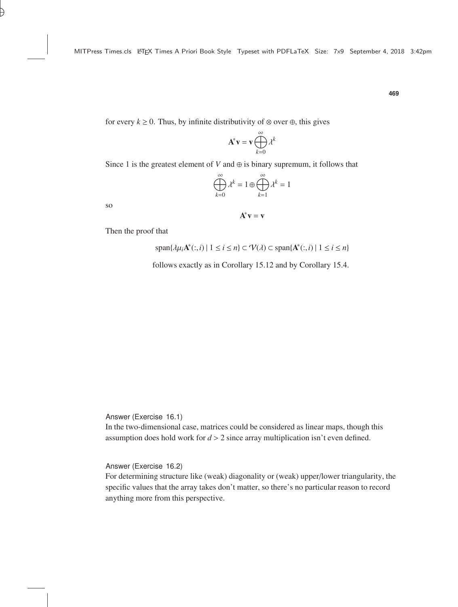for every  $k \ge 0$ . Thus, by infinite distributivity of ⊗ over ⊕, this gives

$$
\mathbf{A}^* \mathbf{v} = \mathbf{v} \bigoplus_{k=0}^{\infty} \lambda^k
$$

Since 1 is the greatest element of *V* and  $\oplus$  is binary supremum, it follows that

$$
\bigoplus_{k=0}^{\infty} \lambda^k = 1 \oplus \bigoplus_{k=1}^{\infty} \lambda^k = 1
$$

so

 $\mathbf{A}^*\mathbf{v} = \mathbf{v}$ 

Then the proof that

$$
\text{span}\{\lambda\mu_i\mathbf{A}^*(:,i) \mid 1 \le i \le n\} \subset \mathcal{V}(\lambda) \subset \text{span}\{\mathbf{A}^*(:,i) \mid 1 \le i \le n\}
$$

follows exactly as in Corollary [15.12](#page--1-30) and by Corollary [15.4.](#page--1-27)

Answer (Exercise 16.1)

In the two-dimensional case, matrices could be considered as linear maps, though this assumption does hold work for *<sup>d</sup>* > <sup>2</sup> since array multiplication isn't even defined.

Answer (Exercise 16.2)

For determining structure like (weak) diagonality or (weak) upper/lower triangularity, the specific values that the array takes don't matter, so there's no particular reason to record anything more from this perspective.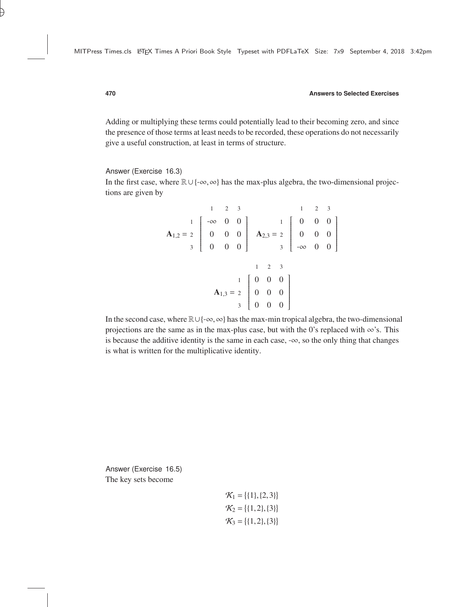Adding or multiplying these terms could potentially lead to their becoming zero, and since the presence of those terms at least needs to be recorded, these operations do not necessarily give a useful construction, at least in terms of structure.

#### Answer (Exercise 16.3)

In the first case, where <sup>R</sup>∪ {−∞,∞} has the max-plus algebra, the two-dimensional projections are given by

$$
\mathbf{A}_{1,2} = \begin{bmatrix} 1 & 2 & 3 \\ 0 & 0 & 0 \\ 0 & 0 & 0 \\ 0 & 0 & 0 \end{bmatrix} \quad \mathbf{A}_{2,3} = \begin{bmatrix} 1 & 2 & 3 \\ 0 & 0 & 0 \\ 0 & 0 & 0 \\ 0 & 0 & 0 \end{bmatrix}
$$

$$
\mathbf{A}_{1,3} = \begin{bmatrix} 1 & 2 & 3 \\ 0 & 0 & 0 \\ 0 & 0 & 0 \\ 3 & 0 & 0 \end{bmatrix}
$$

In the second case, where <sup>R</sup>∪{−∞,∞} hasthe max-min tropical algebra, the two-dimensional projections are the same as in the max-plus case, but with the 0's replaced with  $\infty$ 's. This is because the additive identity is the same in each case, −∞, so the only thing that changes is what is written for the multiplicative identity.

Answer (Exercise 16.5) The key sets become

$$
\mathcal{K}_1 = \{\{1\}, \{2, 3\}\}\
$$
  

$$
\mathcal{K}_2 = \{\{1, 2\}, \{3\}\}\
$$
  

$$
\mathcal{K}_3 = \{\{1, 2\}, \{3\}\}\
$$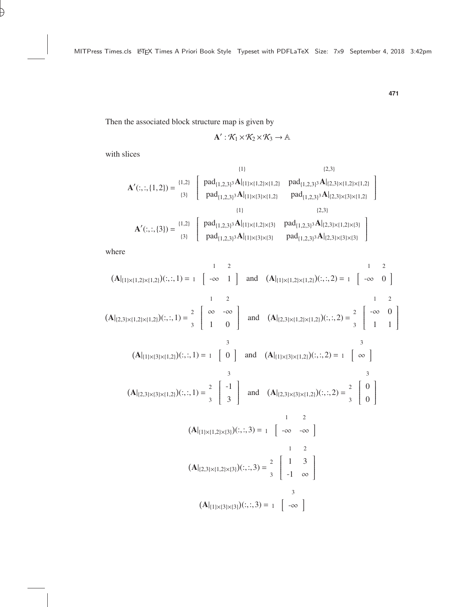Then the associated block structure map is given by

$$
\mathbf{A}':\mathcal{K}_1\!\times\!\mathcal{K}_2\!\times\!\mathcal{K}_3\to\mathbb{A}
$$

with slices

$$
\mathbf{A}'(:,:, \{1,2\}) = \begin{bmatrix} 1.2 \\ 1.3 \end{bmatrix} \begin{bmatrix} pad_{\{1,2,3\}^3} \mathbf{A}|_{\{1\} \times \{1,2\} \times \{1,2\}} & pad_{\{1,2,3\}^3} \mathbf{A}|_{\{2,3\} \times \{1,2\} \times \{1,2\}} \\ pad_{\{1,2,3\}^3} \mathbf{A}|_{\{1\} \times \{3\} \times \{1,2\}} & pad_{\{1,2,3\}^3} \mathbf{A}|_{\{2,3\} \times \{3\} \times \{1,2\}} \end{bmatrix}
$$
\n
$$
\mathbf{A}'(:,:, \{3\}) = \begin{bmatrix} 1.2 \\ 1.3 \end{bmatrix} \begin{bmatrix} pad_{\{1,2,3\}^3} \mathbf{A}|_{\{1\} \times \{1,2\} \times \{3\}} & pad_{\{1,2,3\}^3} \mathbf{A}|_{\{2,3\} \times \{1,2\} \times \{3\}} \\ pad_{\{1,2,3\}^3} \mathbf{A}|_{\{1\} \times \{3\} \times \{3\}} & pad_{\{1,2,3\}^3} \mathbf{A}|_{\{2,3\} \times \{3\} \times \{3\}} \end{bmatrix}
$$

where

$$
(\mathbf{A}|_{\{1\}\times\{1,2\}\times\{1,2\}})(:,;1) = 1 \begin{bmatrix} -\infty & 1 \end{bmatrix} \text{ and } (\mathbf{A}|_{\{1\}\times\{1,2\}\times\{1,2\}})(:,;2) = 1 \begin{bmatrix} -\infty & 0 \end{bmatrix}
$$
  
\n
$$
(\mathbf{A}|_{\{2,3\}\times\{1,2\}\times\{1,2\}})(:,;1) = \frac{2}{3} \begin{bmatrix} \infty & -\infty \\ 1 & 0 \end{bmatrix} \text{ and } (\mathbf{A}|_{\{2,3\}\times\{1,2\}\times\{1,2\}})(:,;2) = \frac{2}{3} \begin{bmatrix} -\infty & 0 \\ 1 & 1 \end{bmatrix}
$$
  
\n
$$
(\mathbf{A}|_{\{1\}\times\{3\}\times\{1,2\}})(:,;1) = 1 \begin{bmatrix} 0 \\ 0 \end{bmatrix} \text{ and } (\mathbf{A}|_{\{1\}\times\{3\}\times\{1,2\}})(:,;2) = 1 \begin{bmatrix} \infty \\ 0 \end{bmatrix}
$$
  
\n
$$
(\mathbf{A}|_{\{2,3\}\times\{1,2\}})(:,;1) = \frac{2}{3} \begin{bmatrix} -1 \\ 3 \end{bmatrix} \text{ and } (\mathbf{A}|_{\{2,3\}\times\{1,2\}})(:,;2) = \frac{2}{3} \begin{bmatrix} 0 \\ 0 \end{bmatrix}
$$
  
\n
$$
(\mathbf{A}|_{\{1\}\times\{1,2\}\times\{3\}})(:,;3) = 1 \begin{bmatrix} 2 & -\infty & -\infty \\ -\infty & -\infty \end{bmatrix}
$$
  
\n
$$
(\mathbf{A}|_{\{2,3\}\times\{1,2\}\times\{3\}})(:,;3) = \frac{2}{3} \begin{bmatrix} 1 & 3 \\ -1 & \infty \end{bmatrix}
$$
  
\n
$$
(\mathbf{A}|_{\{1\}\times\{3\}\times\{3\}})(:,;3) = 1 \begin{bmatrix} -\infty & 1 \end{bmatrix}
$$